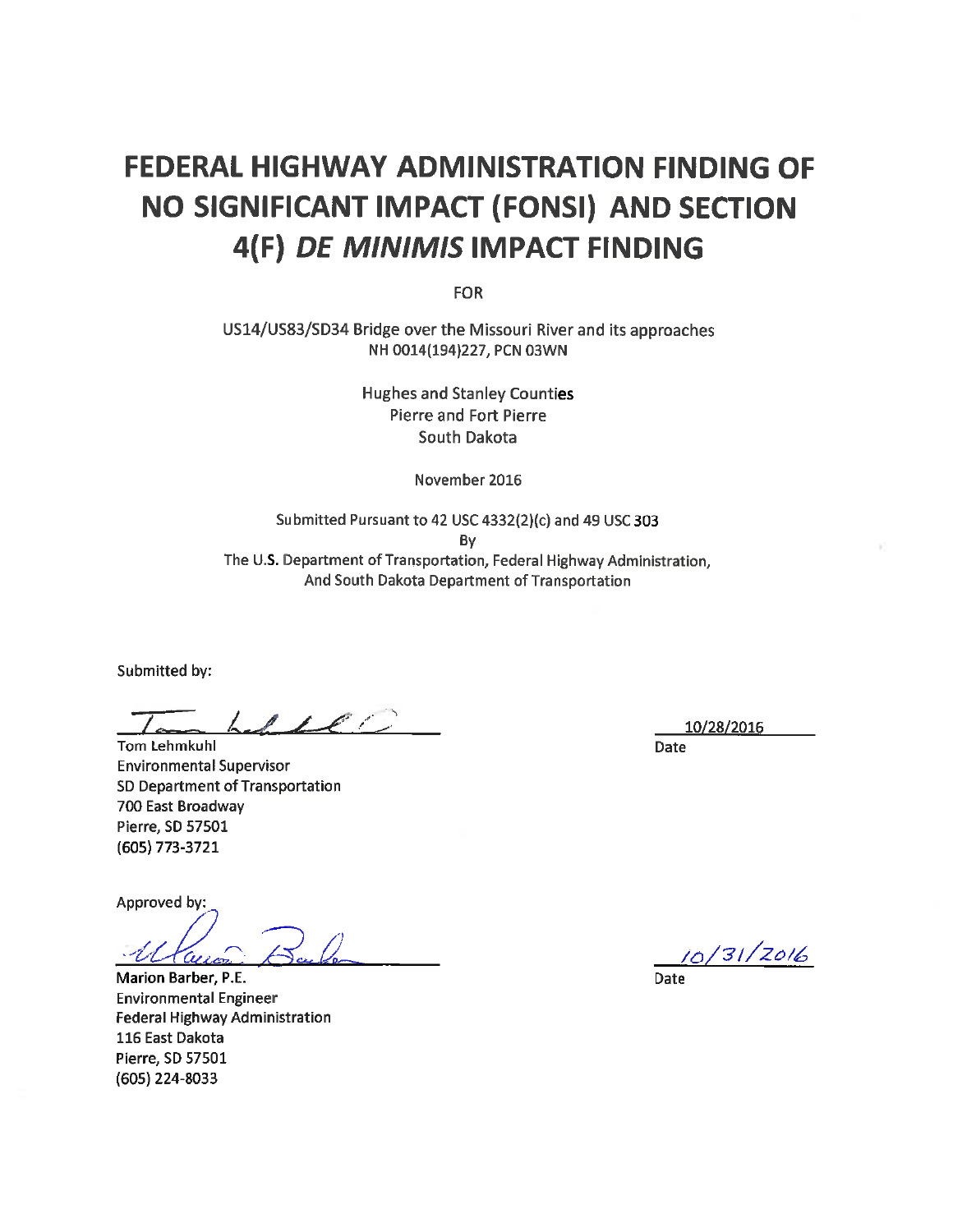# **FEDERAL HIGHWAY ADMINISTRATION FINDING OF** NO SIGNIFICANT IMPACT (FONSI) AND SECTION 4(F) DE MINIMIS IMPACT FINDING

**FOR** 

US14/US83/SD34 Bridge over the Missouri River and its approaches NH 0014(194)227, PCN 03WN

> **Hughes and Stanley Counties Pierre and Fort Pierre** South Dakota

> > November 2016

Submitted Pursuant to 42 USC 4332(2)(c) and 49 USC 303 By The U.S. Department of Transportation, Federal Highway Administration, And South Dakota Department of Transportation

Submitted by:

 $\ell$  if  $\ell$  if  $\ell$ 

**Tom Lehmkuhl Environmental Supervisor** SD Department of Transportation 700 East Broadway Pierre, SD 57501 (605) 773-3721

Approved by:

Marion Barber, P.E. **Environmental Engineer** Federal Highway Administration 116 East Dakota Pierre, SD 57501 (605) 224-8033

10/28/2016 Date

10/31/2016

**Date**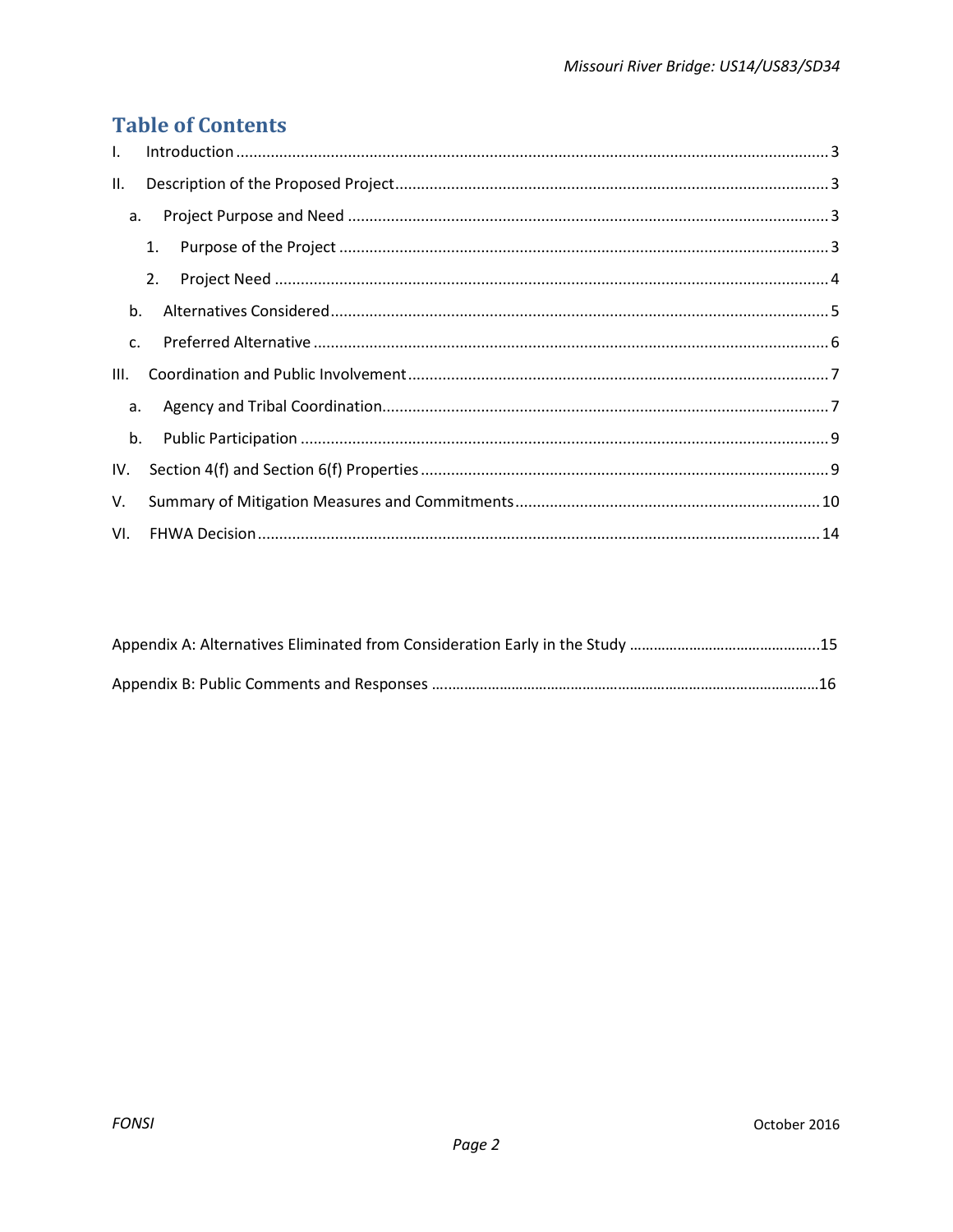## **Table of Contents**

| $\mathbf{L}$ |    |  |
|--------------|----|--|
| II.          |    |  |
| a.           |    |  |
|              | 1. |  |
|              | 2. |  |
| b.           |    |  |
| $C_{\cdot}$  |    |  |
| III.         |    |  |
| а.           |    |  |
| b.           |    |  |
| IV.          |    |  |
| V.           |    |  |
|              |    |  |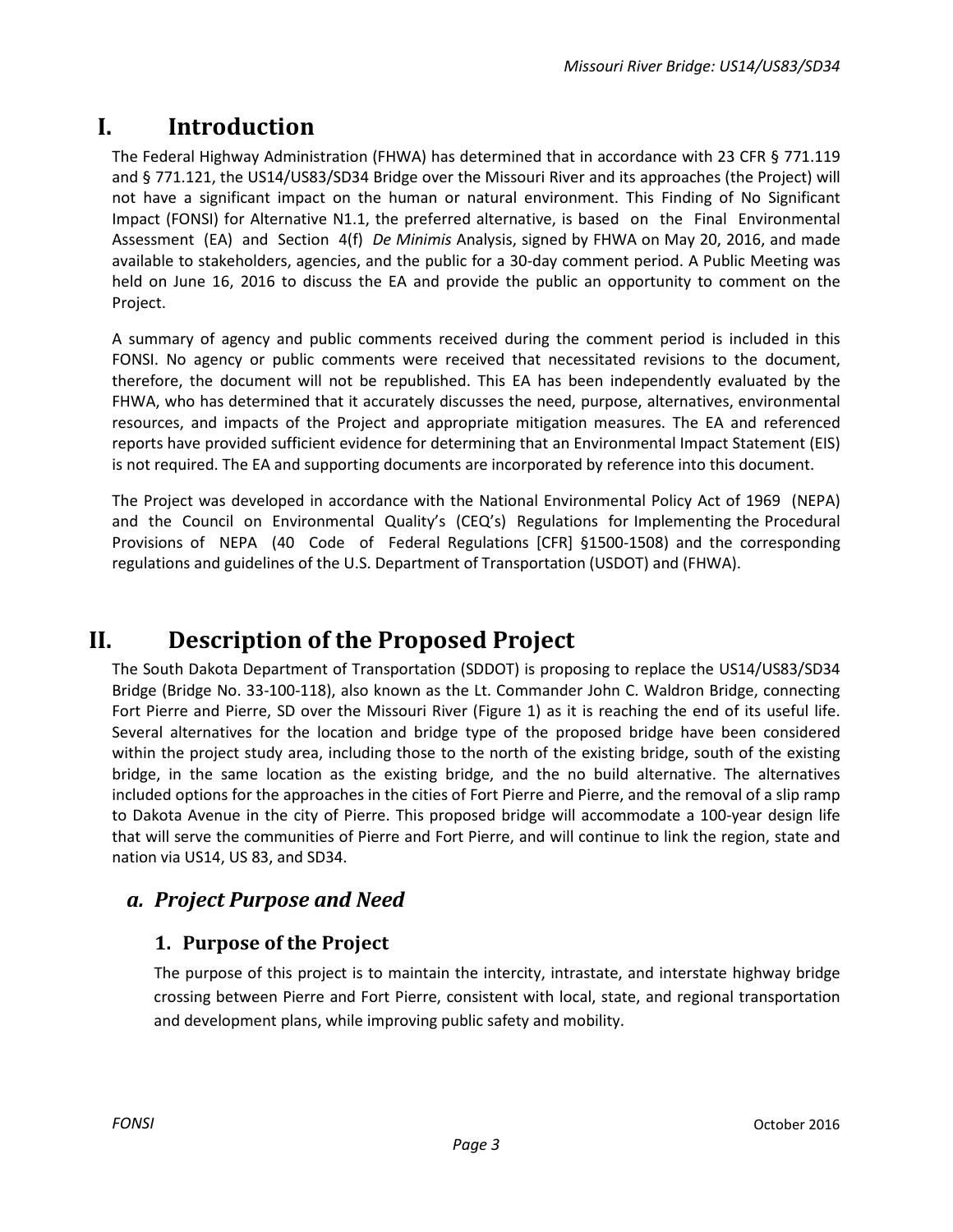## <span id="page-2-0"></span>**I. Introduction**

The Federal Highway Administration (FHWA) has determined that in accordance with 23 CFR § 771.119 and § 771.121, the US14/US83/SD34 Bridge over the Missouri River and its approaches (the Project) will not have a significant impact on the human or natural environment. This Finding of No Significant Impact (FONSI) for Alternative N1.1, the preferred alternative, is based on the Final Environmental Assessment (EA) and Section 4(f) *De Minimis* Analysis, signed by FHWA on May 20, 2016, and made available to stakeholders, agencies, and the public for a 30-day comment period. A Public Meeting was held on June 16, 2016 to discuss the EA and provide the public an opportunity to comment on the Project.

A summary of agency and public comments received during the comment period is included in this FONSI. No agency or public comments were received that necessitated revisions to the document, therefore, the document will not be republished. This EA has been independently evaluated by the FHWA, who has determined that it accurately discusses the need, purpose, alternatives, environmental resources, and impacts of the Project and appropriate mitigation measures. The EA and referenced reports have provided sufficient evidence for determining that an Environmental Impact Statement (EIS) is not required. The EA and supporting documents are incorporated by reference into this document.

The Project was developed in accordance with the National Environmental Policy Act of 1969 (NEPA) and the Council on Environmental Quality's (CEQ's) Regulations for Implementing the Procedural Provisions of NEPA (40 Code of Federal Regulations [CFR] §1500-1508) and the corresponding regulations and guidelines of the U.S. Department of Transportation (USDOT) and (FHWA).

## <span id="page-2-1"></span>**II. Description of the Proposed Project**

The South Dakota Department of Transportation (SDDOT) is proposing to replace the US14/US83/SD34 Bridge (Bridge No. 33-100-118), also known as the Lt. Commander John C. Waldron Bridge, connecting Fort Pierre and Pierre, SD over the Missouri River (Figure 1) as it is reaching the end of its useful life. Several alternatives for the location and bridge type of the proposed bridge have been considered within the project study area, including those to the north of the existing bridge, south of the existing bridge, in the same location as the existing bridge, and the no build alternative. The alternatives included options for the approaches in the cities of Fort Pierre and Pierre, and the removal of a slip ramp to Dakota Avenue in the city of Pierre. This proposed bridge will accommodate a 100-year design life that will serve the communities of Pierre and Fort Pierre, and will continue to link the region, state and nation via US14, US 83, and SD34.

## <span id="page-2-3"></span><span id="page-2-2"></span>*a. Project Purpose and Need*

### **1. Purpose of the Project**

The purpose of this project is to maintain the intercity, intrastate, and interstate highway bridge crossing between Pierre and Fort Pierre, consistent with local, state, and regional transportation and development plans, while improving public safety and mobility.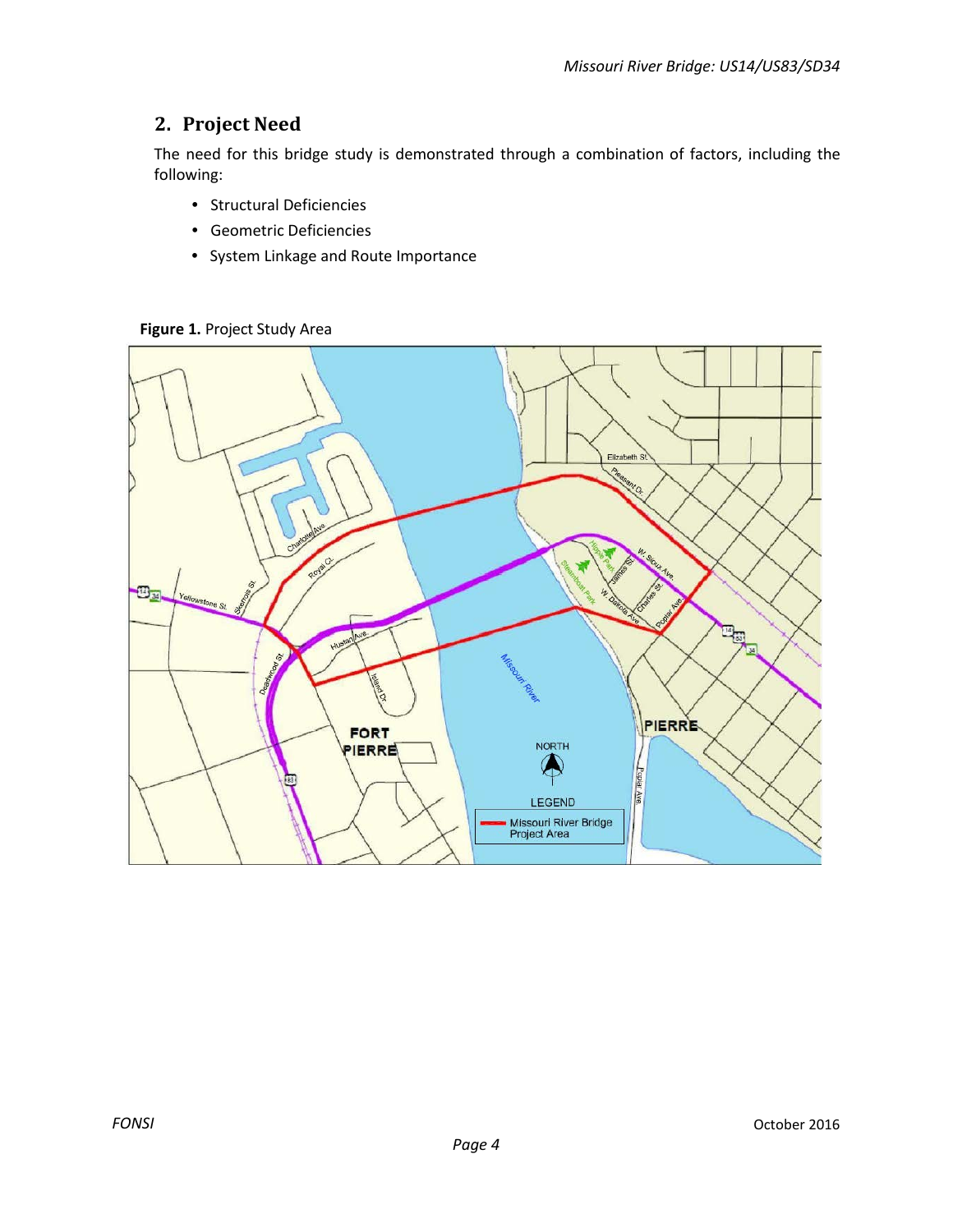### <span id="page-3-0"></span>**2. Project Need**

The need for this bridge study is demonstrated through a combination of factors, including the following:

- Structural Deficiencies
- Geometric Deficiencies
- System Linkage and Route Importance

Elizabeth St.  $\mathbf{E}_{\mathbf{M}}$ Yellowstone St. 73 PIERRE FORT **NORTH** PIERRE  $\spadesuit$ Oplar Ave **LEGEND** Missouri River Bridge<br>Project Area

**Figure 1.** Project Study Area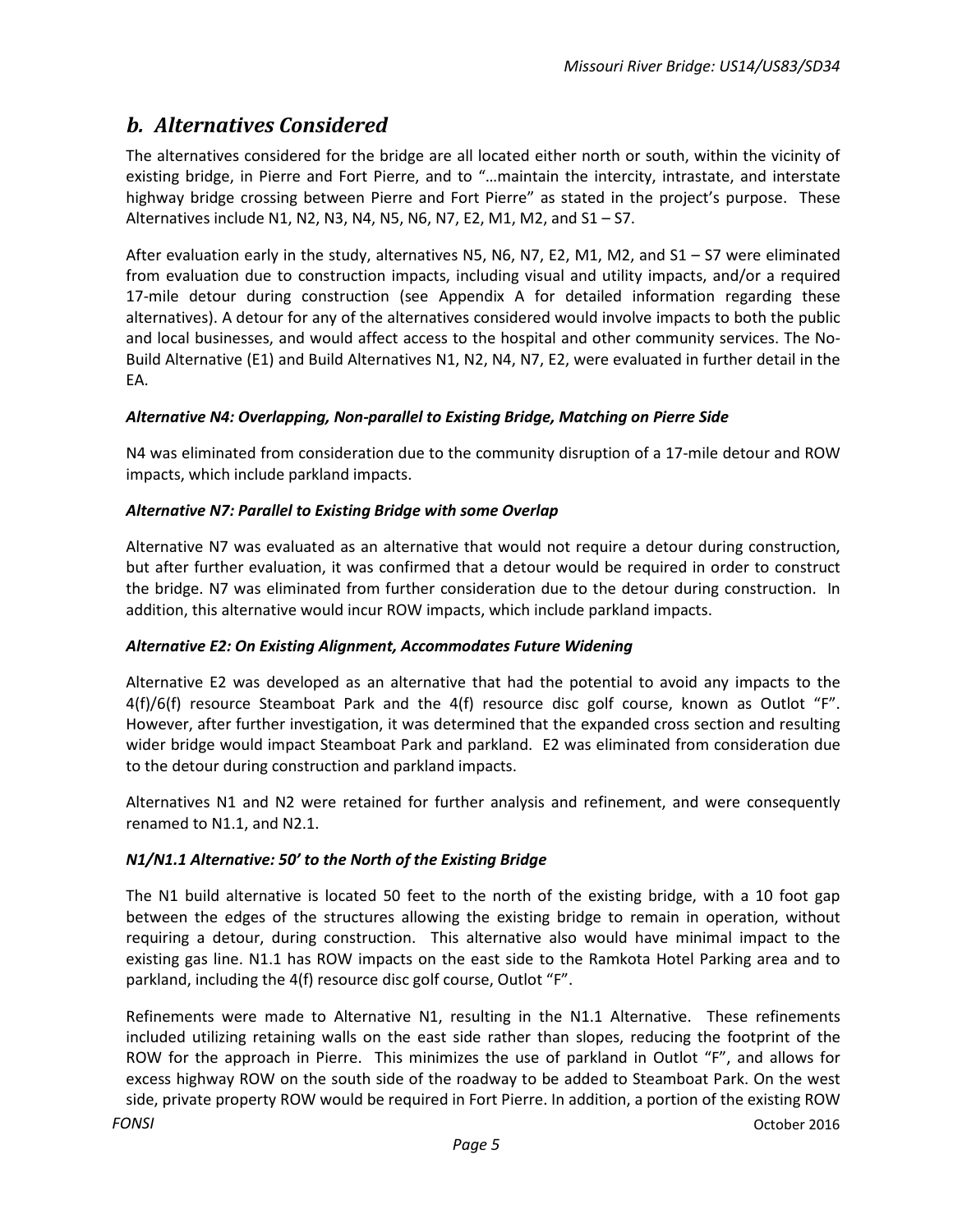### <span id="page-4-0"></span>*b. Alternatives Considered*

The alternatives considered for the bridge are all located either north or south, within the vicinity of existing bridge, in Pierre and Fort Pierre, and to "…maintain the intercity, intrastate, and interstate highway bridge crossing between Pierre and Fort Pierre" as stated in the project's purpose. These Alternatives include N1, N2, N3, N4, N5, N6, N7, E2, M1, M2, and S1 – S7.

After evaluation early in the study, alternatives N5, N6, N7, E2, M1, M2, and S1 – S7 were eliminated from evaluation due to construction impacts, including visual and utility impacts, and/or a required 17-mile detour during construction (see Appendix A for detailed information regarding these alternatives). A detour for any of the alternatives considered would involve impacts to both the public and local businesses, and would affect access to the hospital and other community services. The No-Build Alternative (E1) and Build Alternatives N1, N2, N4, N7, E2, were evaluated in further detail in the EA.

#### *Alternative N4: Overlapping, Non-parallel to Existing Bridge, Matching on Pierre Side*

N4 was eliminated from consideration due to the community disruption of a 17-mile detour and ROW impacts, which include parkland impacts.

#### *Alternative N7: Parallel to Existing Bridge with some Overlap*

Alternative N7 was evaluated as an alternative that would not require a detour during construction, but after further evaluation, it was confirmed that a detour would be required in order to construct the bridge. N7 was eliminated from further consideration due to the detour during construction. In addition, this alternative would incur ROW impacts, which include parkland impacts.

#### *Alternative E2: On Existing Alignment, Accommodates Future Widening*

Alternative E2 was developed as an alternative that had the potential to avoid any impacts to the 4(f)/6(f) resource Steamboat Park and the 4(f) resource disc golf course, known as Outlot "F". However, after further investigation, it was determined that the expanded cross section and resulting wider bridge would impact Steamboat Park and parkland. E2 was eliminated from consideration due to the detour during construction and parkland impacts.

Alternatives N1 and N2 were retained for further analysis and refinement, and were consequently renamed to N1.1, and N2.1.

#### *N1/N1.1 Alternative: 50' to the North of the Existing Bridge*

The N1 build alternative is located 50 feet to the north of the existing bridge, with a 10 foot gap between the edges of the structures allowing the existing bridge to remain in operation, without requiring a detour, during construction. This alternative also would have minimal impact to the existing gas line. N1.1 has ROW impacts on the east side to the Ramkota Hotel Parking area and to parkland, including the 4(f) resource disc golf course, Outlot "F".

*FONSI* October 2016 Refinements were made to Alternative N1, resulting in the N1.1 Alternative. These refinements included utilizing retaining walls on the east side rather than slopes, reducing the footprint of the ROW for the approach in Pierre. This minimizes the use of parkland in Outlot "F", and allows for excess highway ROW on the south side of the roadway to be added to Steamboat Park. On the west side, private property ROW would be required in Fort Pierre. In addition, a portion of the existing ROW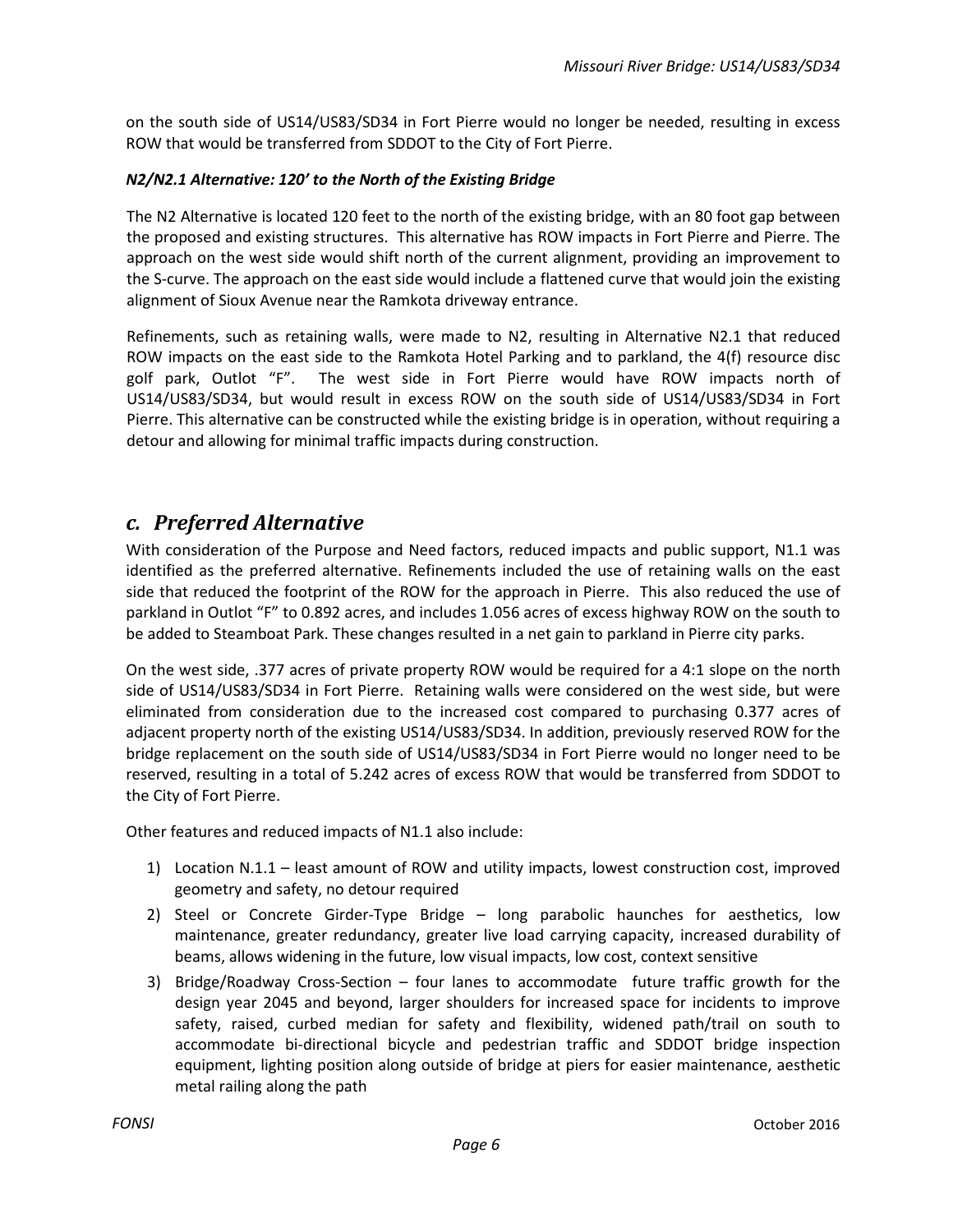on the south side of US14/US83/SD34 in Fort Pierre would no longer be needed, resulting in excess ROW that would be transferred from SDDOT to the City of Fort Pierre.

#### *N2/N2.1 Alternative: 120' to the North of the Existing Bridge*

The N2 Alternative is located 120 feet to the north of the existing bridge, with an 80 foot gap between the proposed and existing structures. This alternative has ROW impacts in Fort Pierre and Pierre. The approach on the west side would shift north of the current alignment, providing an improvement to the S-curve. The approach on the east side would include a flattened curve that would join the existing alignment of Sioux Avenue near the Ramkota driveway entrance.

Refinements, such as retaining walls, were made to N2, resulting in Alternative N2.1 that reduced ROW impacts on the east side to the Ramkota Hotel Parking and to parkland, the 4(f) resource disc golf park, Outlot "F". The west side in Fort Pierre would have ROW impacts north of US14/US83/SD34, but would result in excess ROW on the south side of US14/US83/SD34 in Fort Pierre. This alternative can be constructed while the existing bridge is in operation, without requiring a detour and allowing for minimal traffic impacts during construction.

### <span id="page-5-0"></span>*c. Preferred Alternative*

With consideration of the Purpose and Need factors, reduced impacts and public support, N1.1 was identified as the preferred alternative. Refinements included the use of retaining walls on the east side that reduced the footprint of the ROW for the approach in Pierre. This also reduced the use of parkland in Outlot "F" to 0.892 acres, and includes 1.056 acres of excess highway ROW on the south to be added to Steamboat Park. These changes resulted in a net gain to parkland in Pierre city parks.

On the west side, .377 acres of private property ROW would be required for a 4:1 slope on the north side of US14/US83/SD34 in Fort Pierre. Retaining walls were considered on the west side, but were eliminated from consideration due to the increased cost compared to purchasing 0.377 acres of adjacent property north of the existing US14/US83/SD34. In addition, previously reserved ROW for the bridge replacement on the south side of US14/US83/SD34 in Fort Pierre would no longer need to be reserved, resulting in a total of 5.242 acres of excess ROW that would be transferred from SDDOT to the City of Fort Pierre.

Other features and reduced impacts of N1.1 also include:

- 1) Location N.1.1 least amount of ROW and utility impacts, lowest construction cost, improved geometry and safety, no detour required
- 2) Steel or Concrete Girder-Type Bridge long parabolic haunches for aesthetics, low maintenance, greater redundancy, greater live load carrying capacity, increased durability of beams, allows widening in the future, low visual impacts, low cost, context sensitive
- 3) Bridge/Roadway Cross-Section four lanes to accommodate future traffic growth for the design year 2045 and beyond, larger shoulders for increased space for incidents to improve safety, raised, curbed median for safety and flexibility, widened path/trail on south to accommodate bi-directional bicycle and pedestrian traffic and SDDOT bridge inspection equipment, lighting position along outside of bridge at piers for easier maintenance, aesthetic metal railing along the path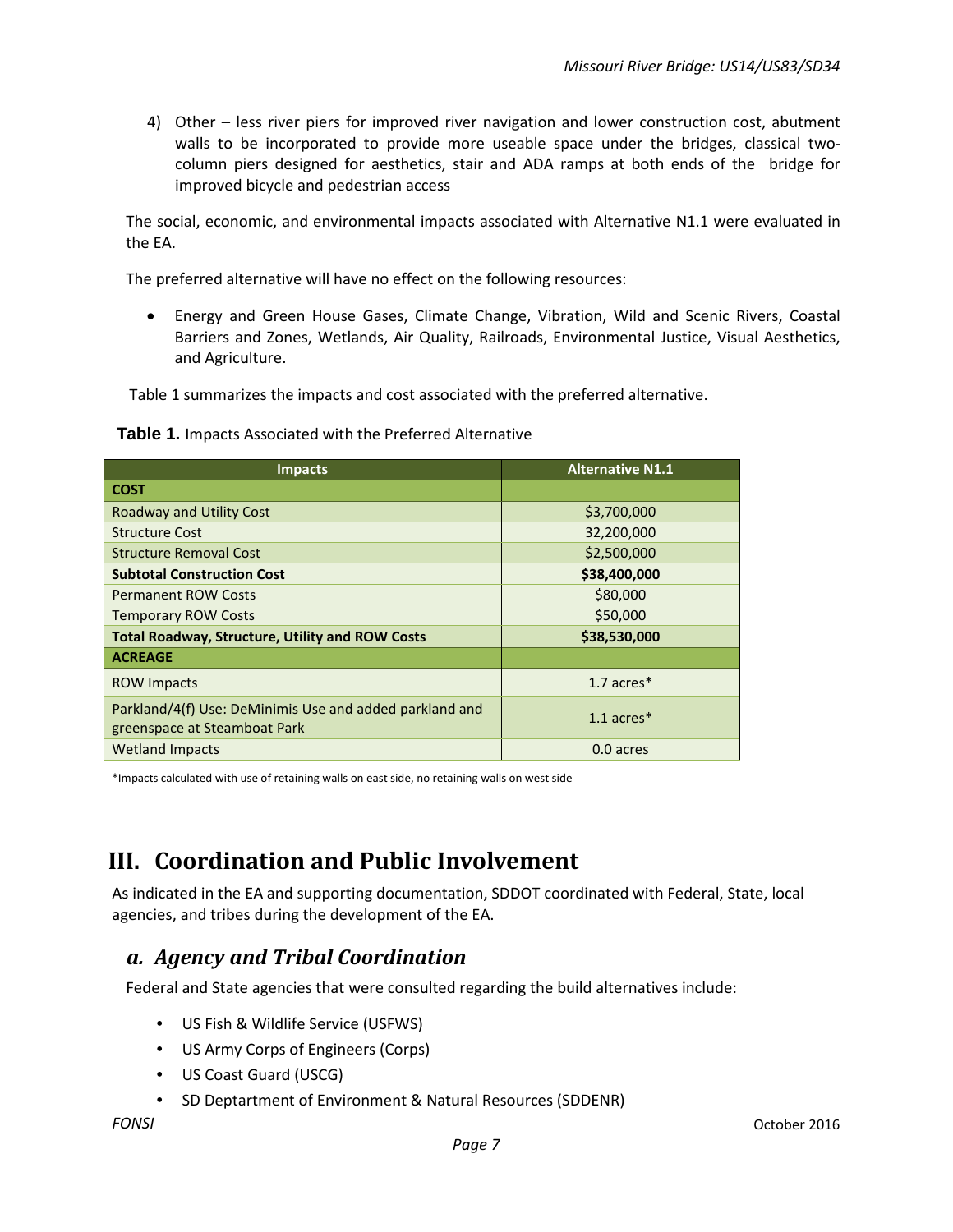4) Other – less river piers for improved river navigation and lower construction cost, abutment walls to be incorporated to provide more useable space under the bridges, classical twocolumn piers designed for aesthetics, stair and ADA ramps at both ends of the bridge for improved bicycle and pedestrian access

The social, economic, and environmental impacts associated with Alternative N1.1 were evaluated in the EA.

The preferred alternative will have no effect on the following resources:

• Energy and Green House Gases, Climate Change, Vibration, Wild and Scenic Rivers, Coastal Barriers and Zones, Wetlands, Air Quality, Railroads, Environmental Justice, Visual Aesthetics, and Agriculture.

Table 1 summarizes the impacts and cost associated with the preferred alternative.

#### **Table 1.** Impacts Associated with the Preferred Alternative

| <b>Impacts</b>                                                                          | <b>Alternative N1.1</b> |
|-----------------------------------------------------------------------------------------|-------------------------|
| <b>COST</b>                                                                             |                         |
| <b>Roadway and Utility Cost</b>                                                         | \$3,700,000             |
| <b>Structure Cost</b>                                                                   | 32,200,000              |
| <b>Structure Removal Cost</b>                                                           | \$2,500,000             |
| <b>Subtotal Construction Cost</b>                                                       | \$38,400,000            |
| <b>Permanent ROW Costs</b>                                                              | \$80,000                |
| <b>Temporary ROW Costs</b>                                                              | \$50,000                |
| <b>Total Roadway, Structure, Utility and ROW Costs</b>                                  | \$38,530,000            |
| <b>ACREAGE</b>                                                                          |                         |
| <b>ROW Impacts</b>                                                                      | 1.7 $arces*$            |
| Parkland/4(f) Use: DeMinimis Use and added parkland and<br>greenspace at Steamboat Park | $1.1$ acres $*$         |
| <b>Wetland Impacts</b>                                                                  | 0.0 acres               |

\*Impacts calculated with use of retaining walls on east side, no retaining walls on west side

## <span id="page-6-0"></span>**III. Coordination and Public Involvement**

As indicated in the EA and supporting documentation, SDDOT coordinated with Federal, State, local agencies, and tribes during the development of the EA.

### <span id="page-6-1"></span>*a. Agency and Tribal Coordination*

Federal and State agencies that were consulted regarding the build alternatives include:

- US Fish & Wildlife Service (USFWS)
- US Army Corps of Engineers (Corps)
- US Coast Guard (USCG)
- SD Deptartment of Environment & Natural Resources (SDDENR)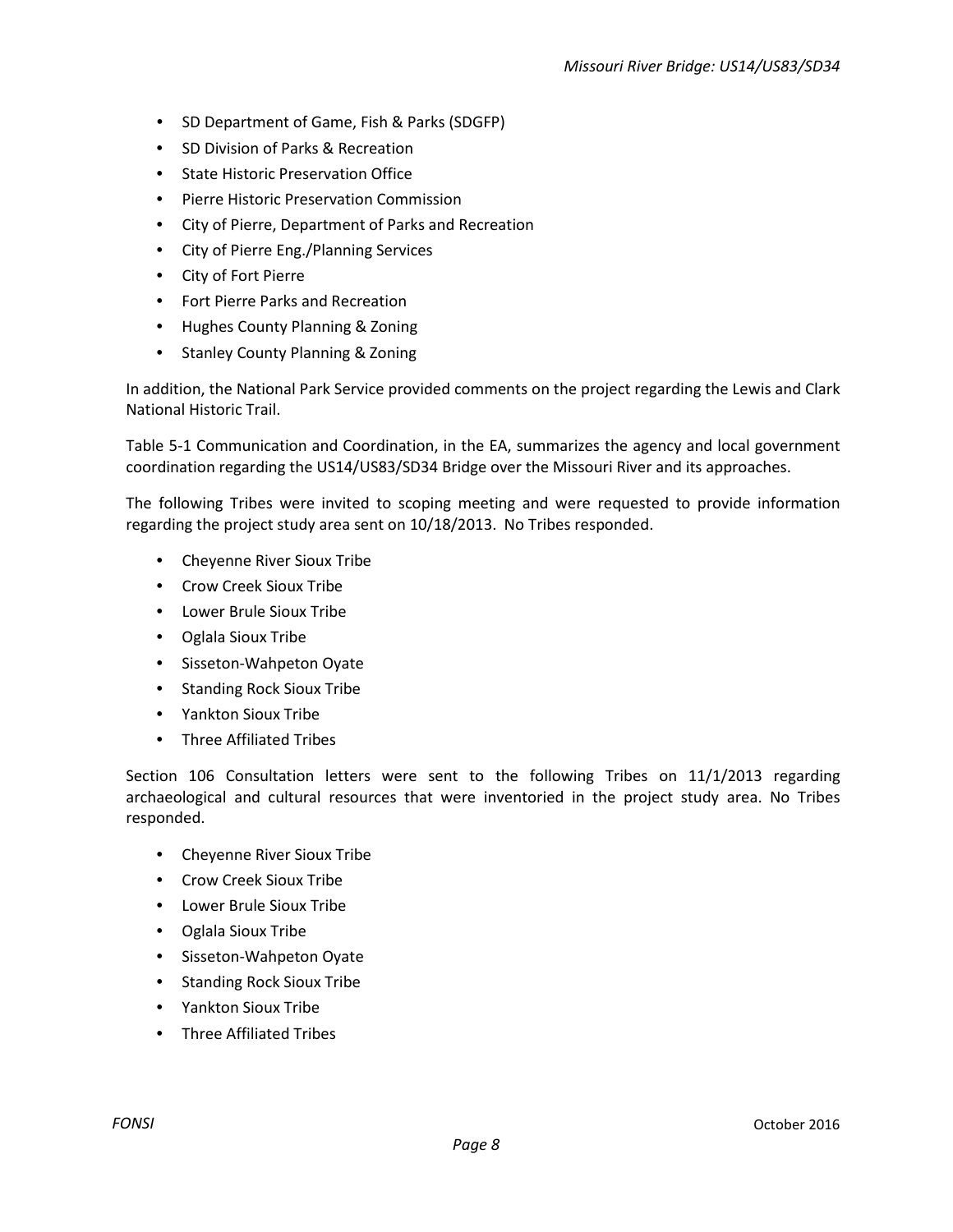- SD Department of Game, Fish & Parks (SDGFP)
- SD Division of Parks & Recreation
- State Historic Preservation Office
- Pierre Historic Preservation Commission
- City of Pierre, Department of Parks and Recreation
- City of Pierre Eng./Planning Services
- City of Fort Pierre
- Fort Pierre Parks and Recreation
- Hughes County Planning & Zoning
- Stanley County Planning & Zoning

In addition, the National Park Service provided comments on the project regarding the Lewis and Clark National Historic Trail.

Table 5-1 Communication and Coordination, in the EA, summarizes the agency and local government coordination regarding the US14/US83/SD34 Bridge over the Missouri River and its approaches.

The following Tribes were invited to scoping meeting and were requested to provide information regarding the project study area sent on 10/18/2013. No Tribes responded.

- Cheyenne River Sioux Tribe
- Crow Creek Sioux Tribe
- Lower Brule Sioux Tribe
- Oglala Sioux Tribe
- Sisseton-Wahpeton Oyate
- Standing Rock Sioux Tribe
- Yankton Sioux Tribe
- Three Affiliated Tribes

Section 106 Consultation letters were sent to the following Tribes on 11/1/2013 regarding archaeological and cultural resources that were inventoried in the project study area. No Tribes responded.

- Cheyenne River Sioux Tribe
- Crow Creek Sioux Tribe
- Lower Brule Sioux Tribe
- Oglala Sioux Tribe
- Sisseton-Wahpeton Oyate
- Standing Rock Sioux Tribe
- Yankton Sioux Tribe
- Three Affiliated Tribes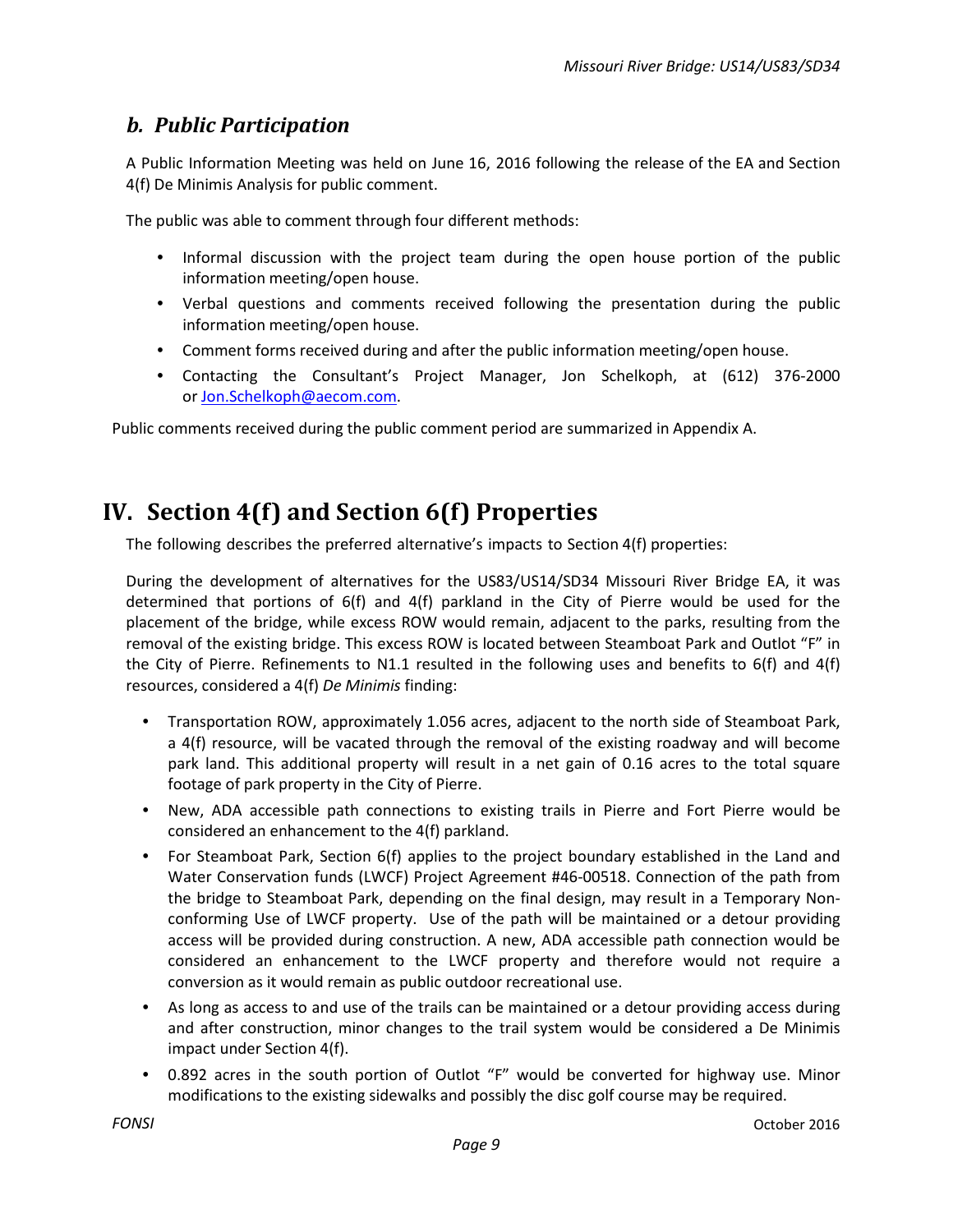### <span id="page-8-0"></span>*b. Public Participation*

A Public Information Meeting was held on June 16, 2016 following the release of the EA and Section 4(f) De Minimis Analysis for public comment.

The public was able to comment through four different methods:

- Informal discussion with the project team during the open house portion of the public information meeting/open house.
- Verbal questions and comments received following the presentation during the public information meeting/open house.
- Comment forms received during and after the public information meeting/open house.
- Contacting the Consultant's Project Manager, Jon Schelkoph, at (612) 376-2000 o[r Jon.Schelkoph@aecom.com.](mailto:Jon.Schelkoph@aecom.com)

Public comments received during the public comment period are summarized in Appendix A.

## <span id="page-8-1"></span>**IV. Section 4(f) and Section 6(f) Properties**

The following describes the preferred alternative's impacts to Section 4(f) properties:

During the development of alternatives for the US83/US14/SD34 Missouri River Bridge EA, it was determined that portions of 6(f) and 4(f) parkland in the City of Pierre would be used for the placement of the bridge, while excess ROW would remain, adjacent to the parks, resulting from the removal of the existing bridge. This excess ROW is located between Steamboat Park and Outlot "F" in the City of Pierre. Refinements to N1.1 resulted in the following uses and benefits to 6(f) and 4(f) resources, considered a 4(f) *De Minimis* finding:

- Transportation ROW, approximately 1.056 acres, adjacent to the north side of Steamboat Park, a 4(f) resource, will be vacated through the removal of the existing roadway and will become park land. This additional property will result in a net gain of 0.16 acres to the total square footage of park property in the City of Pierre.
- New, ADA accessible path connections to existing trails in Pierre and Fort Pierre would be considered an enhancement to the 4(f) parkland.
- For Steamboat Park, Section 6(f) applies to the project boundary established in the Land and Water Conservation funds (LWCF) Project Agreement #46-00518. Connection of the path from the bridge to Steamboat Park, depending on the final design, may result in a Temporary Nonconforming Use of LWCF property. Use of the path will be maintained or a detour providing access will be provided during construction. A new, ADA accessible path connection would be considered an enhancement to the LWCF property and therefore would not require a conversion as it would remain as public outdoor recreational use.
- As long as access to and use of the trails can be maintained or a detour providing access during and after construction, minor changes to the trail system would be considered a De Minimis impact under Section 4(f).
- 0.892 acres in the south portion of Outlot "F" would be converted for highway use. Minor modifications to the existing sidewalks and possibly the disc golf course may be required.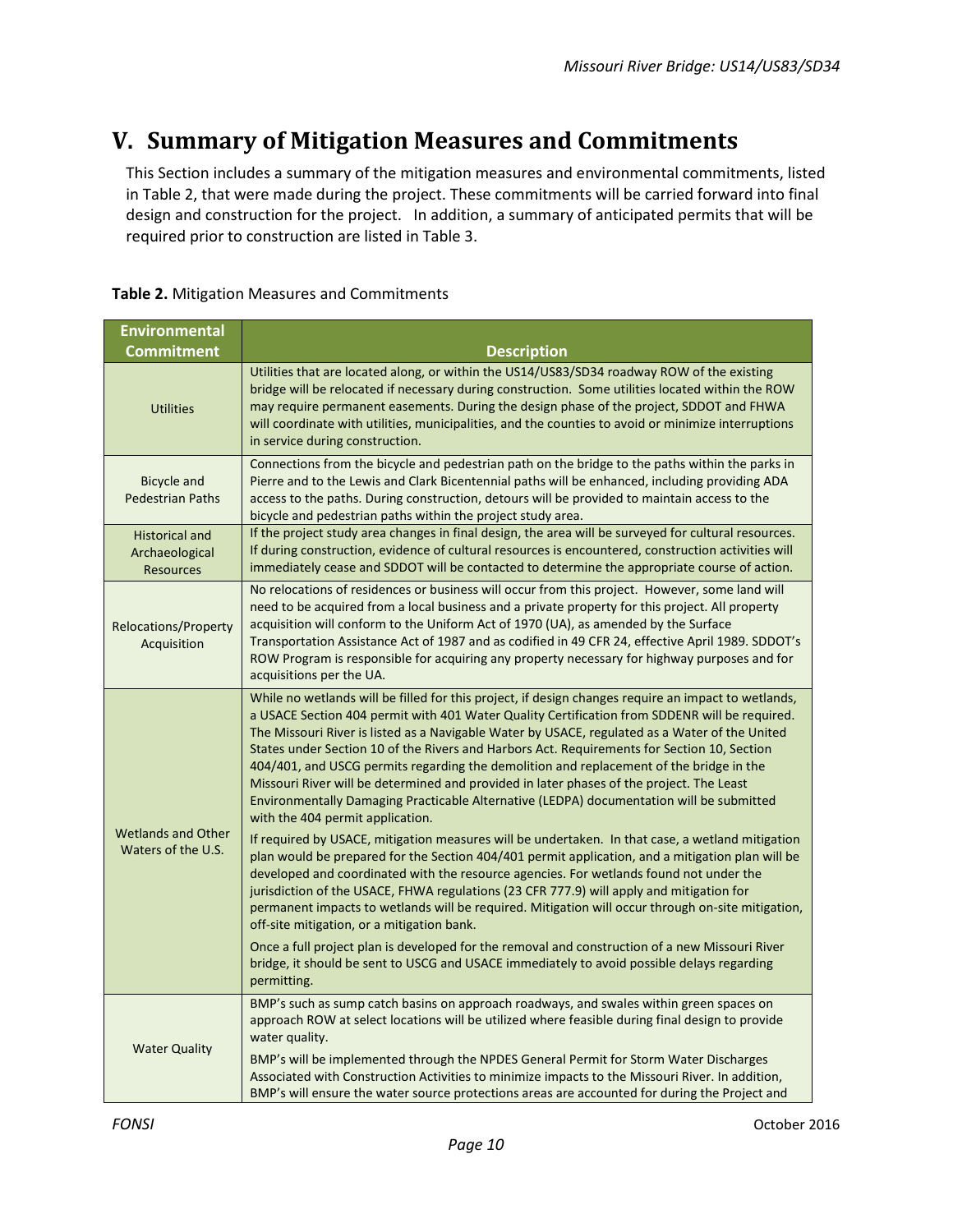## <span id="page-9-0"></span>**V. Summary of Mitigation Measures and Commitments**

This Section includes a summary of the mitigation measures and environmental commitments, listed in Table 2, that were made during the project. These commitments will be carried forward into final design and construction for the project. In addition, a summary of anticipated permits that will be required prior to construction are listed in Table 3.

| Table 2. Mitigation Measures and Commitments |
|----------------------------------------------|
|----------------------------------------------|

| <b>Environmental</b>                                        |                                                                                                                                                                                                                                                                                                                                                                                                                                                                                                                                                                                                                                                                                                                              |  |  |
|-------------------------------------------------------------|------------------------------------------------------------------------------------------------------------------------------------------------------------------------------------------------------------------------------------------------------------------------------------------------------------------------------------------------------------------------------------------------------------------------------------------------------------------------------------------------------------------------------------------------------------------------------------------------------------------------------------------------------------------------------------------------------------------------------|--|--|
| <b>Commitment</b>                                           | <b>Description</b>                                                                                                                                                                                                                                                                                                                                                                                                                                                                                                                                                                                                                                                                                                           |  |  |
| <b>Utilities</b>                                            | Utilities that are located along, or within the US14/US83/SD34 roadway ROW of the existing<br>bridge will be relocated if necessary during construction. Some utilities located within the ROW<br>may require permanent easements. During the design phase of the project, SDDOT and FHWA<br>will coordinate with utilities, municipalities, and the counties to avoid or minimize interruptions<br>in service during construction.                                                                                                                                                                                                                                                                                          |  |  |
| <b>Bicycle and</b><br><b>Pedestrian Paths</b>               | Connections from the bicycle and pedestrian path on the bridge to the paths within the parks in<br>Pierre and to the Lewis and Clark Bicentennial paths will be enhanced, including providing ADA<br>access to the paths. During construction, detours will be provided to maintain access to the<br>bicycle and pedestrian paths within the project study area.                                                                                                                                                                                                                                                                                                                                                             |  |  |
| <b>Historical and</b><br>Archaeological<br><b>Resources</b> | If the project study area changes in final design, the area will be surveyed for cultural resources.<br>If during construction, evidence of cultural resources is encountered, construction activities will<br>immediately cease and SDDOT will be contacted to determine the appropriate course of action.                                                                                                                                                                                                                                                                                                                                                                                                                  |  |  |
| <b>Relocations/Property</b><br>Acquisition                  | No relocations of residences or business will occur from this project. However, some land will<br>need to be acquired from a local business and a private property for this project. All property<br>acquisition will conform to the Uniform Act of 1970 (UA), as amended by the Surface<br>Transportation Assistance Act of 1987 and as codified in 49 CFR 24, effective April 1989. SDDOT's<br>ROW Program is responsible for acquiring any property necessary for highway purposes and for<br>acquisitions per the UA.                                                                                                                                                                                                    |  |  |
|                                                             | While no wetlands will be filled for this project, if design changes require an impact to wetlands,<br>a USACE Section 404 permit with 401 Water Quality Certification from SDDENR will be required.<br>The Missouri River is listed as a Navigable Water by USACE, regulated as a Water of the United<br>States under Section 10 of the Rivers and Harbors Act. Requirements for Section 10, Section<br>404/401, and USCG permits regarding the demolition and replacement of the bridge in the<br>Missouri River will be determined and provided in later phases of the project. The Least<br>Environmentally Damaging Practicable Alternative (LEDPA) documentation will be submitted<br>with the 404 permit application. |  |  |
| <b>Wetlands and Other</b><br>Waters of the U.S.             | If required by USACE, mitigation measures will be undertaken. In that case, a wetland mitigation<br>plan would be prepared for the Section 404/401 permit application, and a mitigation plan will be<br>developed and coordinated with the resource agencies. For wetlands found not under the<br>jurisdiction of the USACE, FHWA regulations (23 CFR 777.9) will apply and mitigation for<br>permanent impacts to wetlands will be required. Mitigation will occur through on-site mitigation,<br>off-site mitigation, or a mitigation bank.                                                                                                                                                                                |  |  |
|                                                             | Once a full project plan is developed for the removal and construction of a new Missouri River<br>bridge, it should be sent to USCG and USACE immediately to avoid possible delays regarding<br>permitting.                                                                                                                                                                                                                                                                                                                                                                                                                                                                                                                  |  |  |
| <b>Water Quality</b>                                        | BMP's such as sump catch basins on approach roadways, and swales within green spaces on<br>approach ROW at select locations will be utilized where feasible during final design to provide<br>water quality.                                                                                                                                                                                                                                                                                                                                                                                                                                                                                                                 |  |  |
|                                                             | BMP's will be implemented through the NPDES General Permit for Storm Water Discharges<br>Associated with Construction Activities to minimize impacts to the Missouri River. In addition,<br>BMP's will ensure the water source protections areas are accounted for during the Project and                                                                                                                                                                                                                                                                                                                                                                                                                                    |  |  |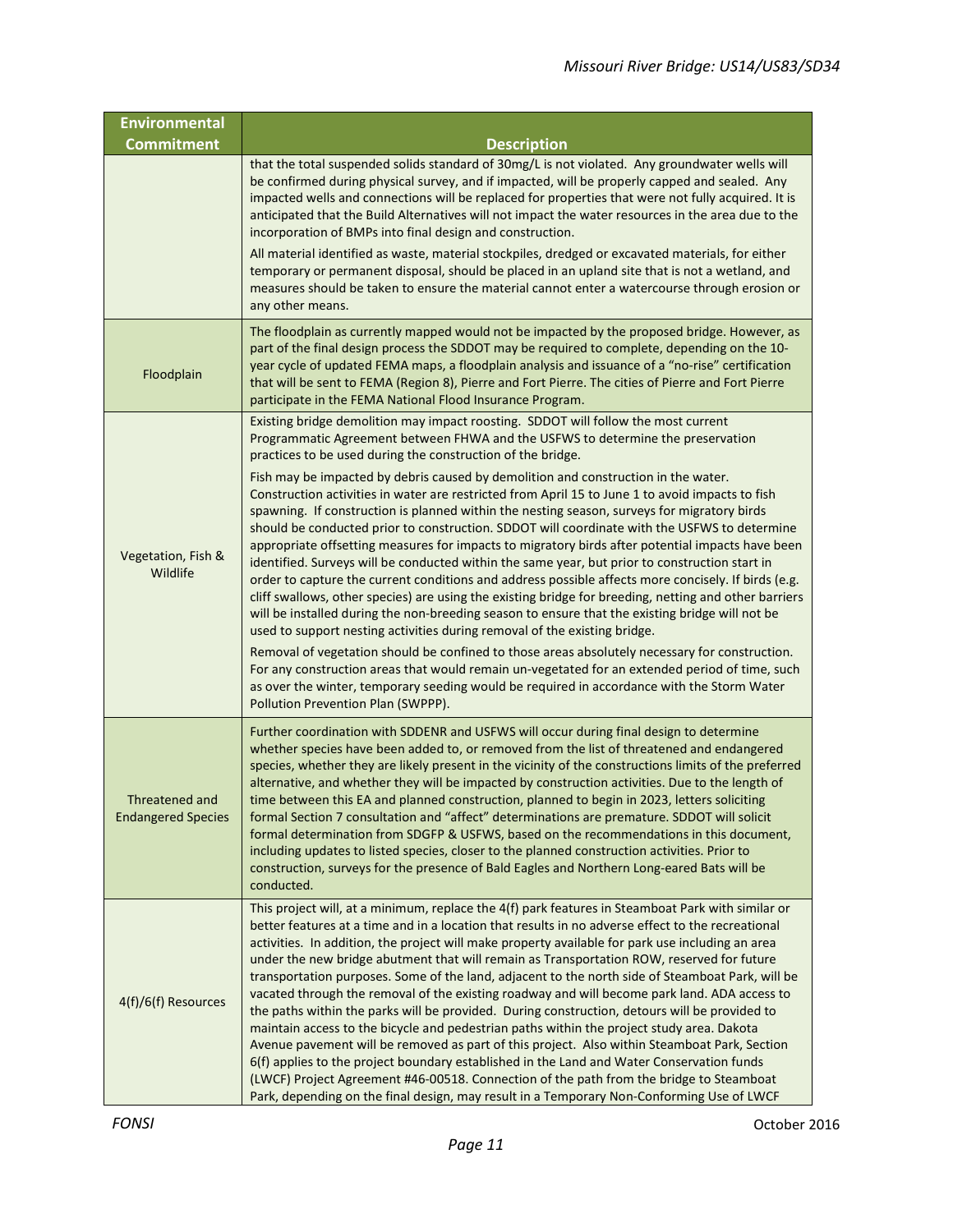| <b>Environmental</b>                        |                                                                                                                                                                                                                                                                                                                                                                                                                                                                                                                                                                                                                                                                                                                                                                                                                                                                                                                                                                                                                                                                                                                                                                                                |  |  |
|---------------------------------------------|------------------------------------------------------------------------------------------------------------------------------------------------------------------------------------------------------------------------------------------------------------------------------------------------------------------------------------------------------------------------------------------------------------------------------------------------------------------------------------------------------------------------------------------------------------------------------------------------------------------------------------------------------------------------------------------------------------------------------------------------------------------------------------------------------------------------------------------------------------------------------------------------------------------------------------------------------------------------------------------------------------------------------------------------------------------------------------------------------------------------------------------------------------------------------------------------|--|--|
| <b>Commitment</b>                           | <b>Description</b>                                                                                                                                                                                                                                                                                                                                                                                                                                                                                                                                                                                                                                                                                                                                                                                                                                                                                                                                                                                                                                                                                                                                                                             |  |  |
|                                             | that the total suspended solids standard of 30mg/L is not violated. Any groundwater wells will<br>be confirmed during physical survey, and if impacted, will be properly capped and sealed. Any<br>impacted wells and connections will be replaced for properties that were not fully acquired. It is<br>anticipated that the Build Alternatives will not impact the water resources in the area due to the<br>incorporation of BMPs into final design and construction.                                                                                                                                                                                                                                                                                                                                                                                                                                                                                                                                                                                                                                                                                                                       |  |  |
|                                             | All material identified as waste, material stockpiles, dredged or excavated materials, for either<br>temporary or permanent disposal, should be placed in an upland site that is not a wetland, and<br>measures should be taken to ensure the material cannot enter a watercourse through erosion or<br>any other means.                                                                                                                                                                                                                                                                                                                                                                                                                                                                                                                                                                                                                                                                                                                                                                                                                                                                       |  |  |
| Floodplain                                  | The floodplain as currently mapped would not be impacted by the proposed bridge. However, as<br>part of the final design process the SDDOT may be required to complete, depending on the 10-<br>year cycle of updated FEMA maps, a floodplain analysis and issuance of a "no-rise" certification<br>that will be sent to FEMA (Region 8), Pierre and Fort Pierre. The cities of Pierre and Fort Pierre<br>participate in the FEMA National Flood Insurance Program.                                                                                                                                                                                                                                                                                                                                                                                                                                                                                                                                                                                                                                                                                                                            |  |  |
|                                             | Existing bridge demolition may impact roosting. SDDOT will follow the most current<br>Programmatic Agreement between FHWA and the USFWS to determine the preservation<br>practices to be used during the construction of the bridge.                                                                                                                                                                                                                                                                                                                                                                                                                                                                                                                                                                                                                                                                                                                                                                                                                                                                                                                                                           |  |  |
| Vegetation, Fish &<br>Wildlife              | Fish may be impacted by debris caused by demolition and construction in the water.<br>Construction activities in water are restricted from April 15 to June 1 to avoid impacts to fish<br>spawning. If construction is planned within the nesting season, surveys for migratory birds<br>should be conducted prior to construction. SDDOT will coordinate with the USFWS to determine<br>appropriate offsetting measures for impacts to migratory birds after potential impacts have been<br>identified. Surveys will be conducted within the same year, but prior to construction start in<br>order to capture the current conditions and address possible affects more concisely. If birds (e.g.<br>cliff swallows, other species) are using the existing bridge for breeding, netting and other barriers<br>will be installed during the non-breeding season to ensure that the existing bridge will not be<br>used to support nesting activities during removal of the existing bridge.                                                                                                                                                                                                    |  |  |
|                                             | Removal of vegetation should be confined to those areas absolutely necessary for construction.<br>For any construction areas that would remain un-vegetated for an extended period of time, such<br>as over the winter, temporary seeding would be required in accordance with the Storm Water<br>Pollution Prevention Plan (SWPPP).                                                                                                                                                                                                                                                                                                                                                                                                                                                                                                                                                                                                                                                                                                                                                                                                                                                           |  |  |
| Threatened and<br><b>Endangered Species</b> | Further coordination with SDDENR and USFWS will occur during final design to determine<br>whether species have been added to, or removed from the list of threatened and endangered<br>species, whether they are likely present in the vicinity of the constructions limits of the preferred<br>alternative, and whether they will be impacted by construction activities. Due to the length of<br>time between this EA and planned construction, planned to begin in 2023, letters soliciting<br>formal Section 7 consultation and "affect" determinations are premature. SDDOT will solicit<br>formal determination from SDGFP & USFWS, based on the recommendations in this document,<br>including updates to listed species, closer to the planned construction activities. Prior to<br>construction, surveys for the presence of Bald Eagles and Northern Long-eared Bats will be<br>conducted.                                                                                                                                                                                                                                                                                           |  |  |
| 4(f)/6(f) Resources                         | This project will, at a minimum, replace the 4(f) park features in Steamboat Park with similar or<br>better features at a time and in a location that results in no adverse effect to the recreational<br>activities. In addition, the project will make property available for park use including an area<br>under the new bridge abutment that will remain as Transportation ROW, reserved for future<br>transportation purposes. Some of the land, adjacent to the north side of Steamboat Park, will be<br>vacated through the removal of the existing roadway and will become park land. ADA access to<br>the paths within the parks will be provided. During construction, detours will be provided to<br>maintain access to the bicycle and pedestrian paths within the project study area. Dakota<br>Avenue pavement will be removed as part of this project. Also within Steamboat Park, Section<br>6(f) applies to the project boundary established in the Land and Water Conservation funds<br>(LWCF) Project Agreement #46-00518. Connection of the path from the bridge to Steamboat<br>Park, depending on the final design, may result in a Temporary Non-Conforming Use of LWCF |  |  |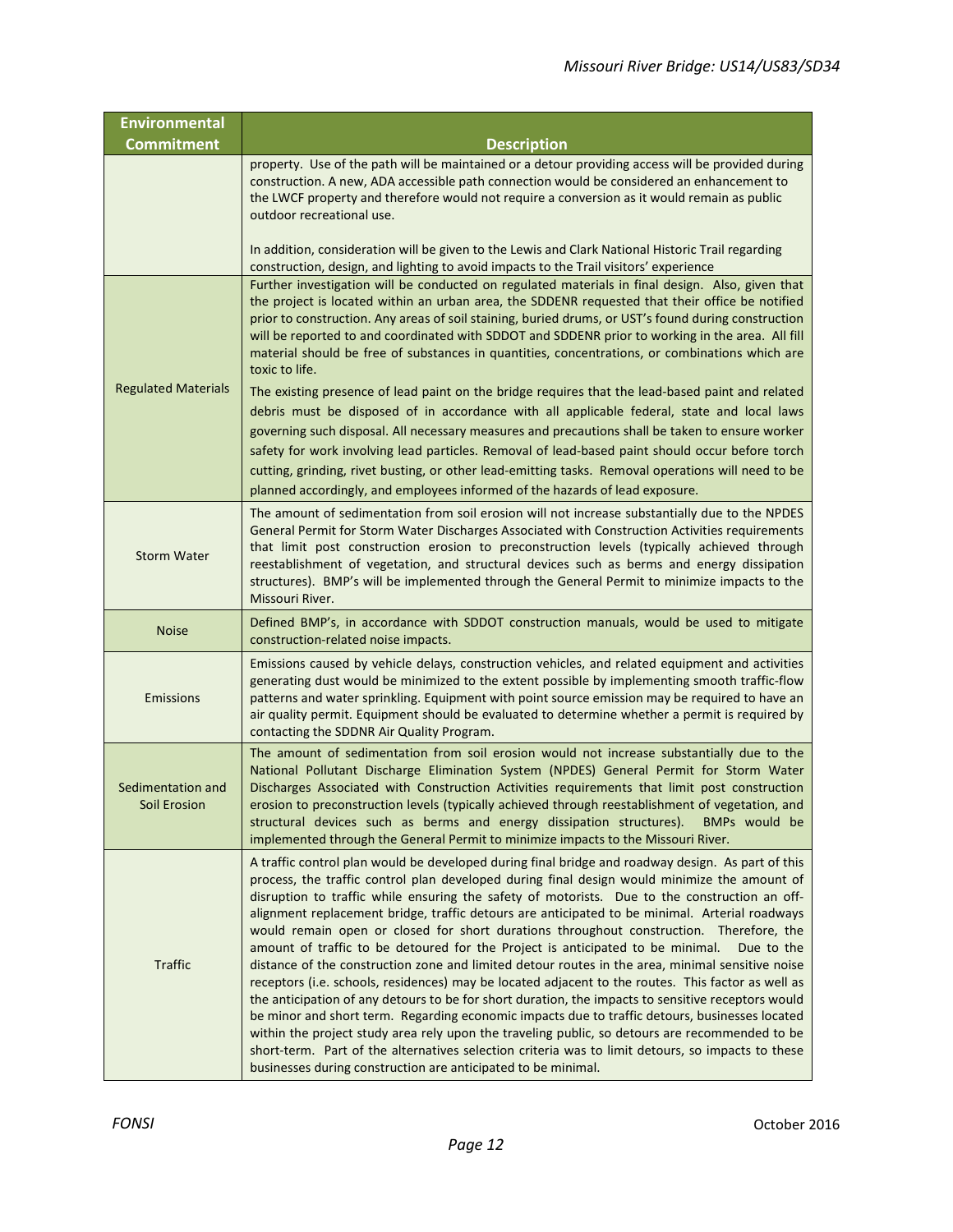| <b>Environmental</b>              |                                                                                                                                                                                                                                                                                                                                                                                                                                                                                                                                                                                                                                                                                                                                                                                                                                                                                                                                                                                                                                                                                                                                                                                                                                                                                           |  |  |
|-----------------------------------|-------------------------------------------------------------------------------------------------------------------------------------------------------------------------------------------------------------------------------------------------------------------------------------------------------------------------------------------------------------------------------------------------------------------------------------------------------------------------------------------------------------------------------------------------------------------------------------------------------------------------------------------------------------------------------------------------------------------------------------------------------------------------------------------------------------------------------------------------------------------------------------------------------------------------------------------------------------------------------------------------------------------------------------------------------------------------------------------------------------------------------------------------------------------------------------------------------------------------------------------------------------------------------------------|--|--|
| <b>Commitment</b>                 | <b>Description</b>                                                                                                                                                                                                                                                                                                                                                                                                                                                                                                                                                                                                                                                                                                                                                                                                                                                                                                                                                                                                                                                                                                                                                                                                                                                                        |  |  |
|                                   | property. Use of the path will be maintained or a detour providing access will be provided during<br>construction. A new, ADA accessible path connection would be considered an enhancement to<br>the LWCF property and therefore would not require a conversion as it would remain as public<br>outdoor recreational use.<br>In addition, consideration will be given to the Lewis and Clark National Historic Trail regarding                                                                                                                                                                                                                                                                                                                                                                                                                                                                                                                                                                                                                                                                                                                                                                                                                                                           |  |  |
|                                   | construction, design, and lighting to avoid impacts to the Trail visitors' experience                                                                                                                                                                                                                                                                                                                                                                                                                                                                                                                                                                                                                                                                                                                                                                                                                                                                                                                                                                                                                                                                                                                                                                                                     |  |  |
|                                   | Further investigation will be conducted on regulated materials in final design. Also, given that<br>the project is located within an urban area, the SDDENR requested that their office be notified<br>prior to construction. Any areas of soil staining, buried drums, or UST's found during construction<br>will be reported to and coordinated with SDDOT and SDDENR prior to working in the area. All fill<br>material should be free of substances in quantities, concentrations, or combinations which are<br>toxic to life.                                                                                                                                                                                                                                                                                                                                                                                                                                                                                                                                                                                                                                                                                                                                                        |  |  |
| <b>Regulated Materials</b>        | The existing presence of lead paint on the bridge requires that the lead-based paint and related<br>debris must be disposed of in accordance with all applicable federal, state and local laws<br>governing such disposal. All necessary measures and precautions shall be taken to ensure worker<br>safety for work involving lead particles. Removal of lead-based paint should occur before torch<br>cutting, grinding, rivet busting, or other lead-emitting tasks. Removal operations will need to be<br>planned accordingly, and employees informed of the hazards of lead exposure.                                                                                                                                                                                                                                                                                                                                                                                                                                                                                                                                                                                                                                                                                                |  |  |
| <b>Storm Water</b>                | The amount of sedimentation from soil erosion will not increase substantially due to the NPDES<br>General Permit for Storm Water Discharges Associated with Construction Activities requirements<br>that limit post construction erosion to preconstruction levels (typically achieved through<br>reestablishment of vegetation, and structural devices such as berms and energy dissipation<br>structures). BMP's will be implemented through the General Permit to minimize impacts to the<br>Missouri River.                                                                                                                                                                                                                                                                                                                                                                                                                                                                                                                                                                                                                                                                                                                                                                           |  |  |
| <b>Noise</b>                      | Defined BMP's, in accordance with SDDOT construction manuals, would be used to mitigate<br>construction-related noise impacts.                                                                                                                                                                                                                                                                                                                                                                                                                                                                                                                                                                                                                                                                                                                                                                                                                                                                                                                                                                                                                                                                                                                                                            |  |  |
| Emissions                         | Emissions caused by vehicle delays, construction vehicles, and related equipment and activities<br>generating dust would be minimized to the extent possible by implementing smooth traffic-flow<br>patterns and water sprinkling. Equipment with point source emission may be required to have an<br>air quality permit. Equipment should be evaluated to determine whether a permit is required by<br>contacting the SDDNR Air Quality Program.                                                                                                                                                                                                                                                                                                                                                                                                                                                                                                                                                                                                                                                                                                                                                                                                                                         |  |  |
| Sedimentation and<br>Soil Erosion | The amount of sedimentation from soil erosion would not increase substantially due to the<br>National Pollutant Discharge Elimination System (NPDES) General Permit for Storm Water<br>Discharges Associated with Construction Activities requirements that limit post construction<br>erosion to preconstruction levels (typically achieved through reestablishment of vegetation, and<br>structural devices such as berms and energy dissipation structures).<br>BMPs would be<br>implemented through the General Permit to minimize impacts to the Missouri River.                                                                                                                                                                                                                                                                                                                                                                                                                                                                                                                                                                                                                                                                                                                     |  |  |
| <b>Traffic</b>                    | A traffic control plan would be developed during final bridge and roadway design. As part of this<br>process, the traffic control plan developed during final design would minimize the amount of<br>disruption to traffic while ensuring the safety of motorists. Due to the construction an off-<br>alignment replacement bridge, traffic detours are anticipated to be minimal. Arterial roadways<br>would remain open or closed for short durations throughout construction. Therefore, the<br>amount of traffic to be detoured for the Project is anticipated to be minimal.<br>Due to the<br>distance of the construction zone and limited detour routes in the area, minimal sensitive noise<br>receptors (i.e. schools, residences) may be located adjacent to the routes. This factor as well as<br>the anticipation of any detours to be for short duration, the impacts to sensitive receptors would<br>be minor and short term. Regarding economic impacts due to traffic detours, businesses located<br>within the project study area rely upon the traveling public, so detours are recommended to be<br>short-term. Part of the alternatives selection criteria was to limit detours, so impacts to these<br>businesses during construction are anticipated to be minimal. |  |  |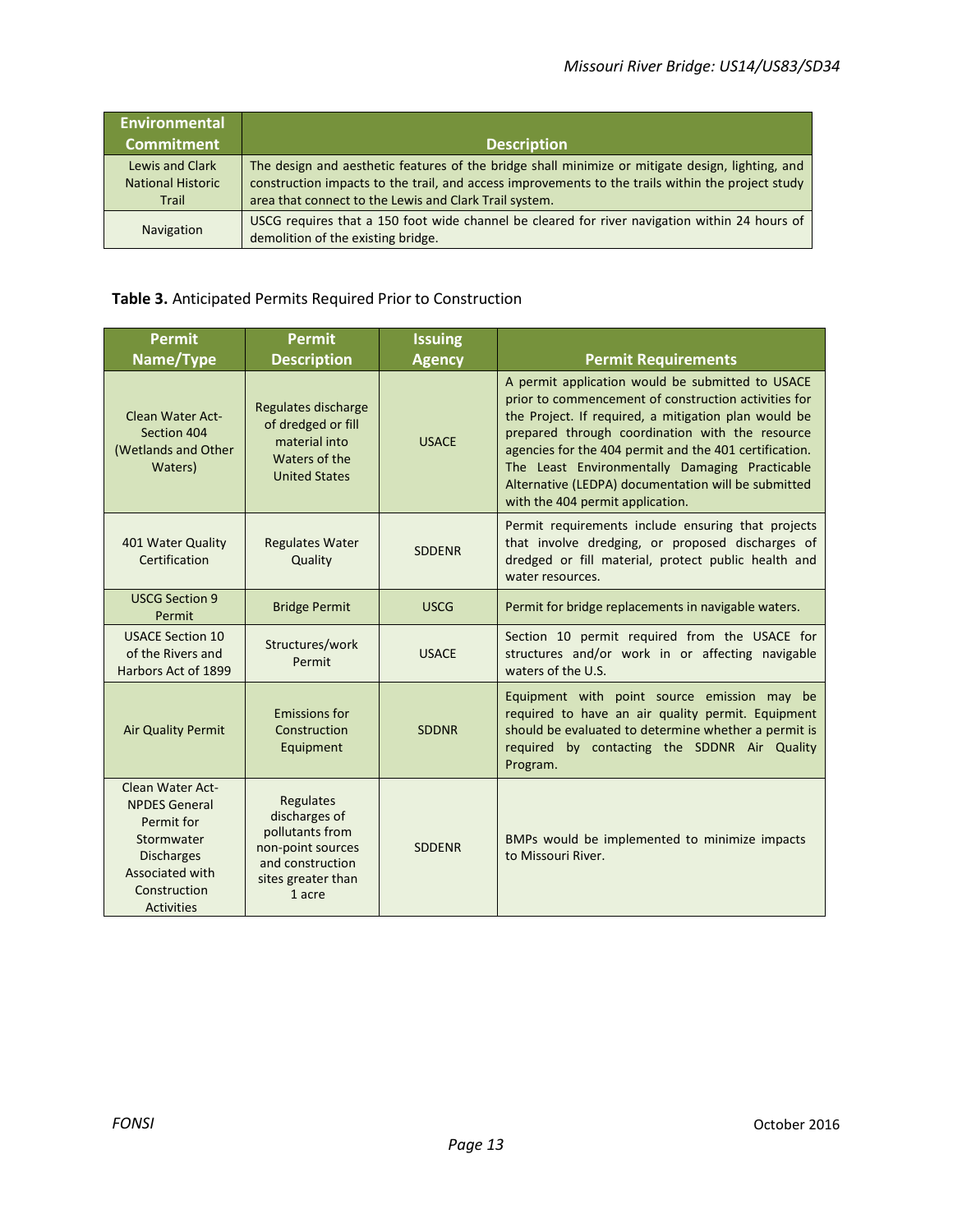| <b>Environmental</b>              |                                                                                                                                                             |
|-----------------------------------|-------------------------------------------------------------------------------------------------------------------------------------------------------------|
| <b>Commitment</b>                 | <b>Description</b>                                                                                                                                          |
| Lewis and Clark                   | The design and aesthetic features of the bridge shall minimize or mitigate design, lighting, and                                                            |
| <b>National Historic</b><br>Trail | construction impacts to the trail, and access improvements to the trails within the project study<br>area that connect to the Lewis and Clark Trail system. |
| <b>Navigation</b>                 | USCG requires that a 150 foot wide channel be cleared for river navigation within 24 hours of<br>demolition of the existing bridge.                         |

### **Table 3.** Anticipated Permits Required Prior to Construction

| <b>Permit</b>                                                                                                                                     | <b>Permit</b>                                                                                                          | <b>Issuing</b> |                                                                                                                                                                                                                                                                                                                                                                                                                            |
|---------------------------------------------------------------------------------------------------------------------------------------------------|------------------------------------------------------------------------------------------------------------------------|----------------|----------------------------------------------------------------------------------------------------------------------------------------------------------------------------------------------------------------------------------------------------------------------------------------------------------------------------------------------------------------------------------------------------------------------------|
| Name/Type                                                                                                                                         | <b>Description</b>                                                                                                     | <b>Agency</b>  | <b>Permit Requirements</b>                                                                                                                                                                                                                                                                                                                                                                                                 |
| <b>Clean Water Act-</b><br>Section 404<br>(Wetlands and Other<br>Waters)                                                                          | Regulates discharge<br>of dredged or fill<br>material into<br>Waters of the<br><b>United States</b>                    | <b>USACE</b>   | A permit application would be submitted to USACE<br>prior to commencement of construction activities for<br>the Project. If required, a mitigation plan would be<br>prepared through coordination with the resource<br>agencies for the 404 permit and the 401 certification.<br>The Least Environmentally Damaging Practicable<br>Alternative (LEDPA) documentation will be submitted<br>with the 404 permit application. |
| 401 Water Quality<br>Certification                                                                                                                | <b>Regulates Water</b><br>Quality                                                                                      | <b>SDDENR</b>  | Permit requirements include ensuring that projects<br>that involve dredging, or proposed discharges of<br>dredged or fill material, protect public health and<br>water resources.                                                                                                                                                                                                                                          |
| <b>USCG Section 9</b><br>Permit                                                                                                                   | <b>Bridge Permit</b>                                                                                                   | <b>USCG</b>    | Permit for bridge replacements in navigable waters.                                                                                                                                                                                                                                                                                                                                                                        |
| <b>USACE Section 10</b><br>of the Rivers and<br>Harbors Act of 1899                                                                               | Structures/work<br>Permit                                                                                              | <b>USACE</b>   | Section 10 permit required from the USACE for<br>structures and/or work in or affecting navigable<br>waters of the U.S.                                                                                                                                                                                                                                                                                                    |
| <b>Air Quality Permit</b>                                                                                                                         | <b>Emissions for</b><br>Construction<br>Equipment                                                                      | <b>SDDNR</b>   | Equipment with point source emission may be<br>required to have an air quality permit. Equipment<br>should be evaluated to determine whether a permit is<br>required by contacting the SDDNR Air Quality<br>Program.                                                                                                                                                                                                       |
| Clean Water Act-<br><b>NPDES General</b><br>Permit for<br>Stormwater<br><b>Discharges</b><br>Associated with<br>Construction<br><b>Activities</b> | Regulates<br>discharges of<br>pollutants from<br>non-point sources<br>and construction<br>sites greater than<br>1 acre | <b>SDDENR</b>  | BMPs would be implemented to minimize impacts<br>to Missouri River.                                                                                                                                                                                                                                                                                                                                                        |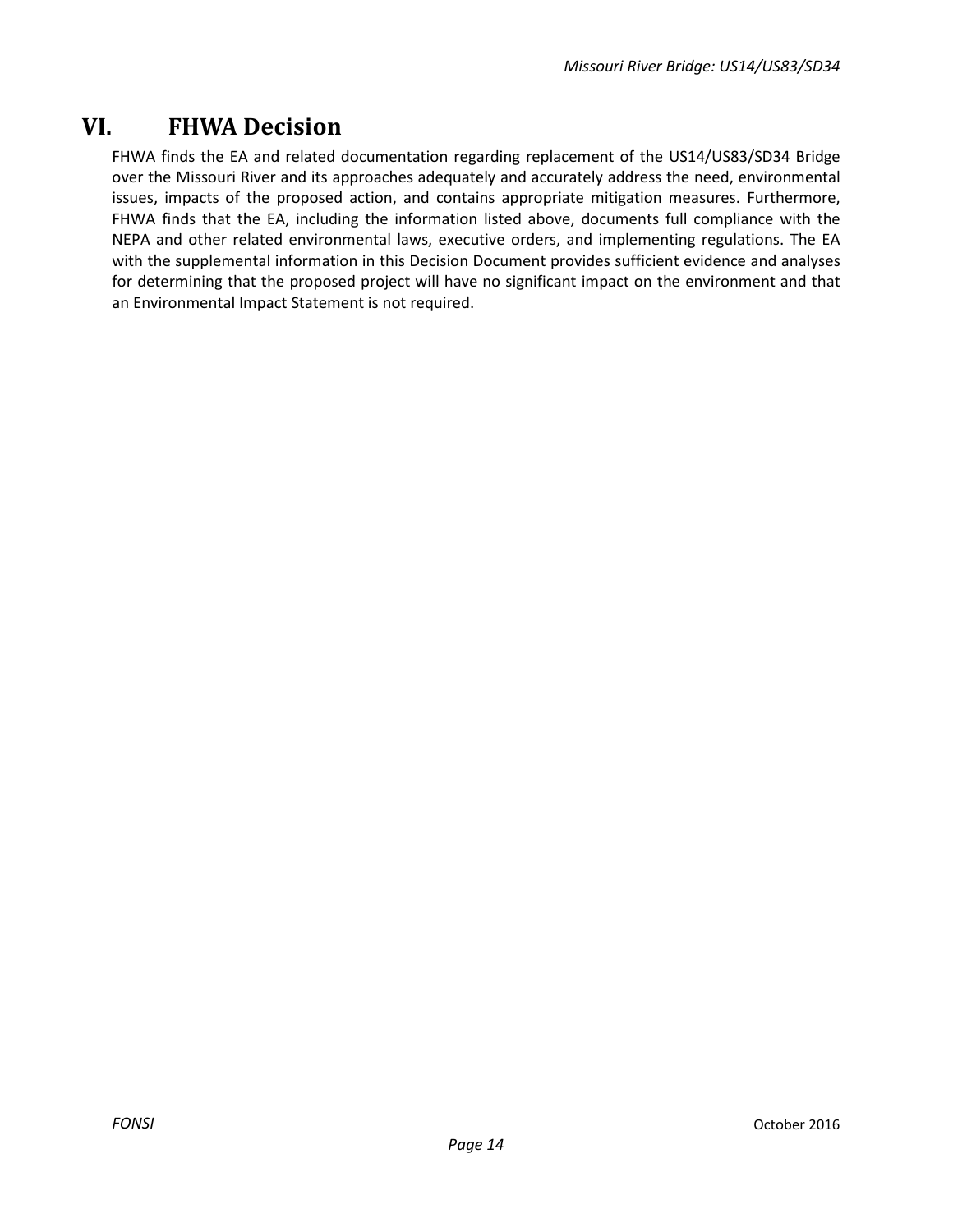## <span id="page-13-0"></span>**VI. FHWA Decision**

FHWA finds the EA and related documentation regarding replacement of the US14/US83/SD34 Bridge over the Missouri River and its approaches adequately and accurately address the need, environmental issues, impacts of the proposed action, and contains appropriate mitigation measures. Furthermore, FHWA finds that the EA, including the information listed above, documents full compliance with the NEPA and other related environmental laws, executive orders, and implementing regulations. The EA with the supplemental information in this Decision Document provides sufficient evidence and analyses for determining that the proposed project will have no significant impact on the environment and that an Environmental Impact Statement is not required.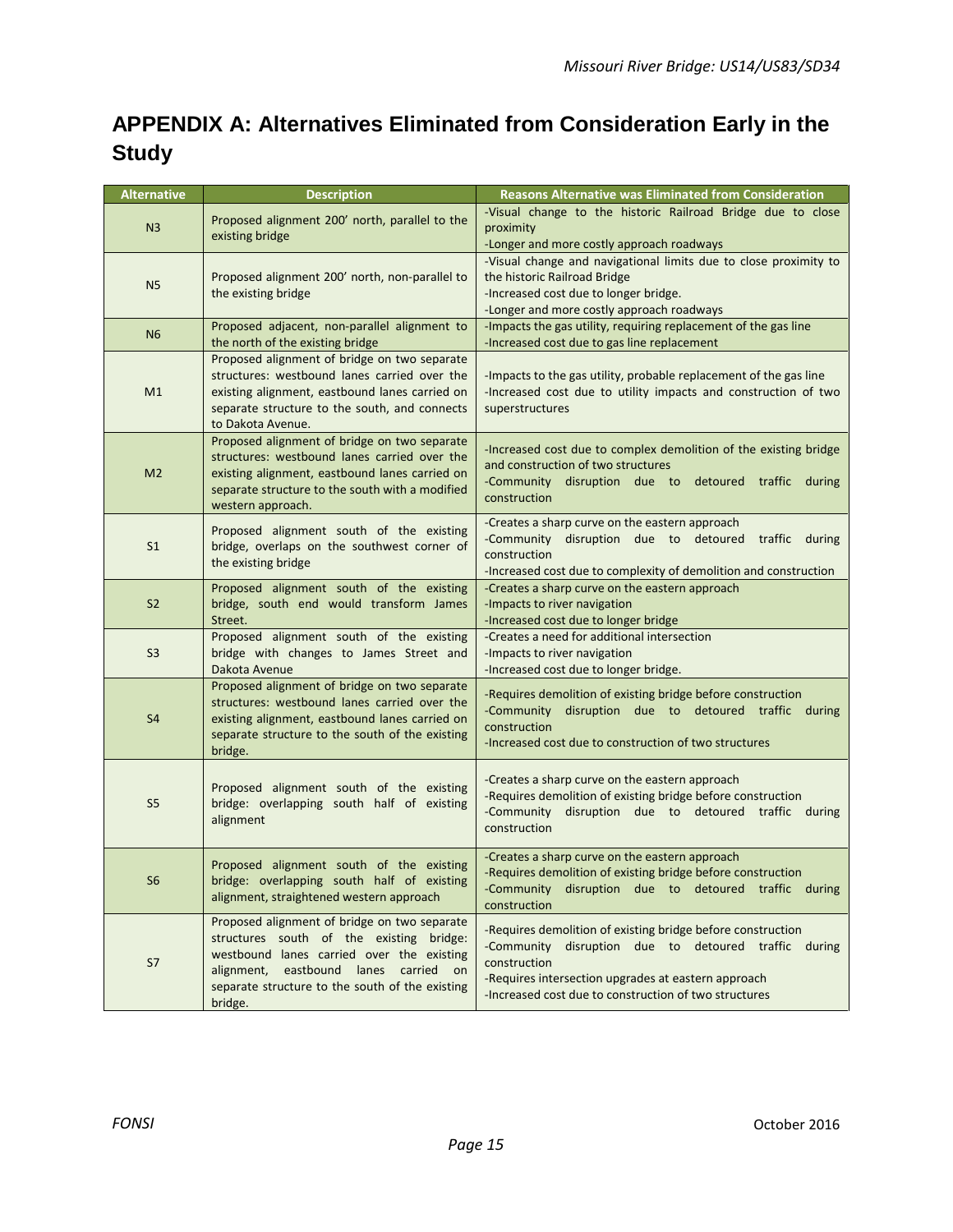## **APPENDIX A: Alternatives Eliminated from Consideration Early in the Study**

| <b>Alternative</b> | <b>Description</b>                                                                                                                                                                                                                           | <b>Reasons Alternative was Eliminated from Consideration</b>                                                                                                                                                                                        |
|--------------------|----------------------------------------------------------------------------------------------------------------------------------------------------------------------------------------------------------------------------------------------|-----------------------------------------------------------------------------------------------------------------------------------------------------------------------------------------------------------------------------------------------------|
| N <sub>3</sub>     | Proposed alignment 200' north, parallel to the<br>existing bridge                                                                                                                                                                            | -Visual change to the historic Railroad Bridge due to close<br>proximity<br>-Longer and more costly approach roadways                                                                                                                               |
| N <sub>5</sub>     | Proposed alignment 200' north, non-parallel to<br>the existing bridge                                                                                                                                                                        | -Visual change and navigational limits due to close proximity to<br>the historic Railroad Bridge<br>-Increased cost due to longer bridge.<br>-Longer and more costly approach roadways                                                              |
| N <sub>6</sub>     | Proposed adjacent, non-parallel alignment to<br>the north of the existing bridge                                                                                                                                                             | -Impacts the gas utility, requiring replacement of the gas line<br>-Increased cost due to gas line replacement                                                                                                                                      |
| M1                 | Proposed alignment of bridge on two separate<br>structures: westbound lanes carried over the<br>existing alignment, eastbound lanes carried on<br>separate structure to the south, and connects<br>to Dakota Avenue.                         | -Impacts to the gas utility, probable replacement of the gas line<br>-Increased cost due to utility impacts and construction of two<br>superstructures                                                                                              |
| M <sub>2</sub>     | Proposed alignment of bridge on two separate<br>structures: westbound lanes carried over the<br>existing alignment, eastbound lanes carried on<br>separate structure to the south with a modified<br>western approach.                       | -Increased cost due to complex demolition of the existing bridge<br>and construction of two structures<br>-Community disruption due to detoured traffic during<br>construction                                                                      |
| S <sub>1</sub>     | Proposed alignment south of the existing<br>bridge, overlaps on the southwest corner of<br>the existing bridge                                                                                                                               | -Creates a sharp curve on the eastern approach<br>-Community disruption due to detoured traffic<br>during<br>construction<br>-Increased cost due to complexity of demolition and construction                                                       |
| S <sub>2</sub>     | Proposed alignment south of the existing<br>bridge, south end would transform James<br>Street.                                                                                                                                               | -Creates a sharp curve on the eastern approach<br>-Impacts to river navigation<br>-Increased cost due to longer bridge                                                                                                                              |
| S <sub>3</sub>     | Proposed alignment south of the existing<br>bridge with changes to James Street and<br>Dakota Avenue                                                                                                                                         | -Creates a need for additional intersection<br>-Impacts to river navigation<br>-Increased cost due to longer bridge.                                                                                                                                |
| S <sub>4</sub>     | Proposed alignment of bridge on two separate<br>structures: westbound lanes carried over the<br>existing alignment, eastbound lanes carried on<br>separate structure to the south of the existing<br>bridge.                                 | -Requires demolition of existing bridge before construction<br>-Community disruption due to detoured traffic during<br>construction<br>-Increased cost due to construction of two structures                                                        |
| S <sub>5</sub>     | Proposed alignment south of the existing<br>bridge: overlapping south half of existing<br>alignment                                                                                                                                          | -Creates a sharp curve on the eastern approach<br>-Requires demolition of existing bridge before construction<br>-Community disruption due to detoured traffic during<br>construction                                                               |
| S <sub>6</sub>     | Proposed alignment south of the existing<br>bridge: overlapping south half of existing<br>alignment, straightened western approach                                                                                                           | -Creates a sharp curve on the eastern approach<br>-Requires demolition of existing bridge before construction<br>-Community disruption due to detoured traffic during<br>construction                                                               |
| S7                 | Proposed alignment of bridge on two separate<br>structures south of the existing bridge:<br>westbound lanes carried over the existing<br>alignment, eastbound lanes carried on<br>separate structure to the south of the existing<br>bridge. | -Requires demolition of existing bridge before construction<br>-Community disruption due to detoured traffic during<br>construction<br>-Requires intersection upgrades at eastern approach<br>-Increased cost due to construction of two structures |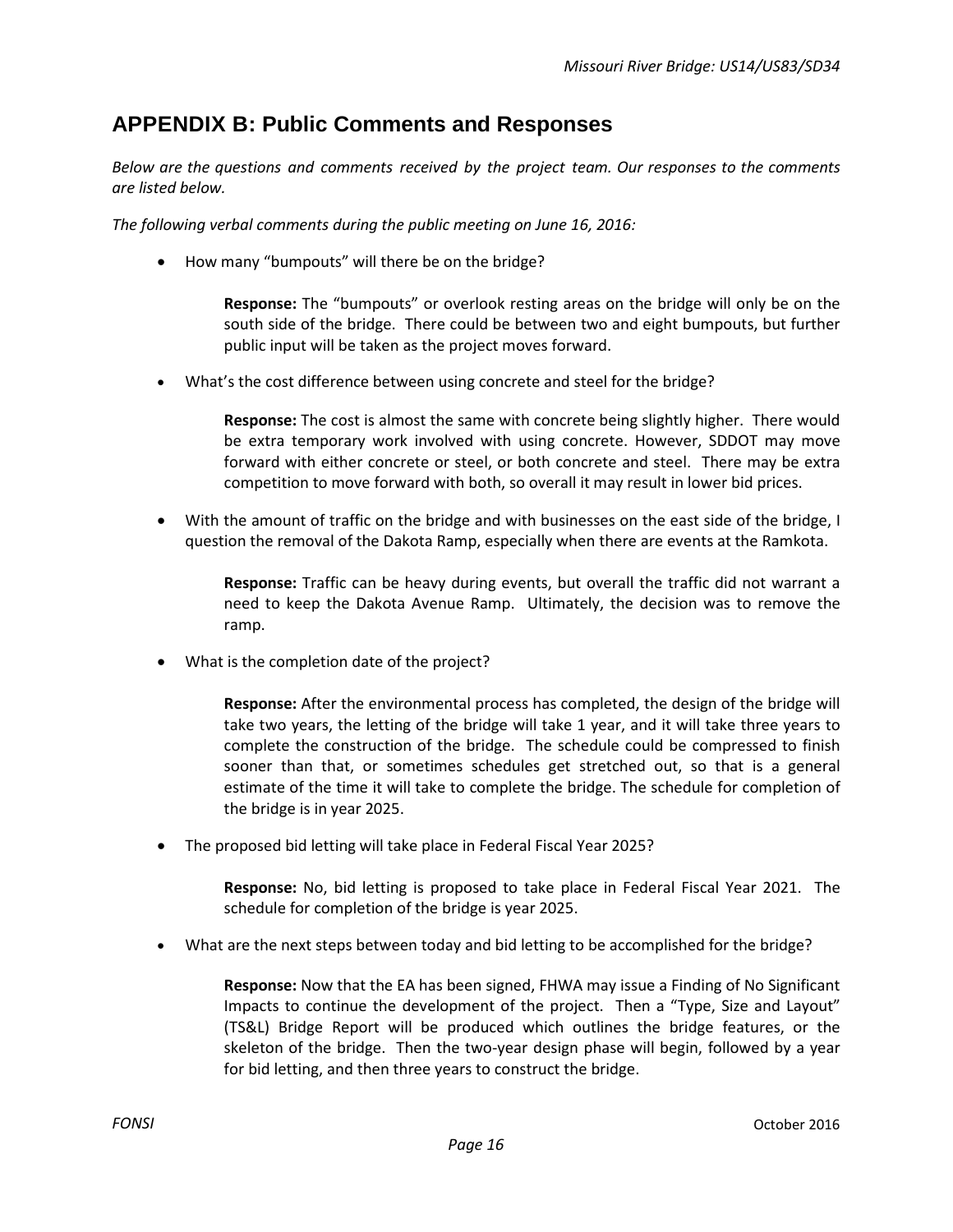### **APPENDIX B: Public Comments and Responses**

*Below are the questions and comments received by the project team. Our responses to the comments are listed below.*

*The following verbal comments during the public meeting on June 16, 2016:*

• How many "bumpouts" will there be on the bridge?

**Response:** The "bumpouts" or overlook resting areas on the bridge will only be on the south side of the bridge. There could be between two and eight bumpouts, but further public input will be taken as the project moves forward.

• What's the cost difference between using concrete and steel for the bridge?

**Response:** The cost is almost the same with concrete being slightly higher. There would be extra temporary work involved with using concrete. However, SDDOT may move forward with either concrete or steel, or both concrete and steel. There may be extra competition to move forward with both, so overall it may result in lower bid prices.

• With the amount of traffic on the bridge and with businesses on the east side of the bridge, I question the removal of the Dakota Ramp, especially when there are events at the Ramkota.

**Response:** Traffic can be heavy during events, but overall the traffic did not warrant a need to keep the Dakota Avenue Ramp. Ultimately, the decision was to remove the ramp.

What is the completion date of the project?

**Response:** After the environmental process has completed, the design of the bridge will take two years, the letting of the bridge will take 1 year, and it will take three years to complete the construction of the bridge. The schedule could be compressed to finish sooner than that, or sometimes schedules get stretched out, so that is a general estimate of the time it will take to complete the bridge. The schedule for completion of the bridge is in year 2025.

• The proposed bid letting will take place in Federal Fiscal Year 2025?

**Response:** No, bid letting is proposed to take place in Federal Fiscal Year 2021. The schedule for completion of the bridge is year 2025.

• What are the next steps between today and bid letting to be accomplished for the bridge?

**Response:** Now that the EA has been signed, FHWA may issue a Finding of No Significant Impacts to continue the development of the project. Then a "Type, Size and Layout" (TS&L) Bridge Report will be produced which outlines the bridge features, or the skeleton of the bridge. Then the two-year design phase will begin, followed by a year for bid letting, and then three years to construct the bridge.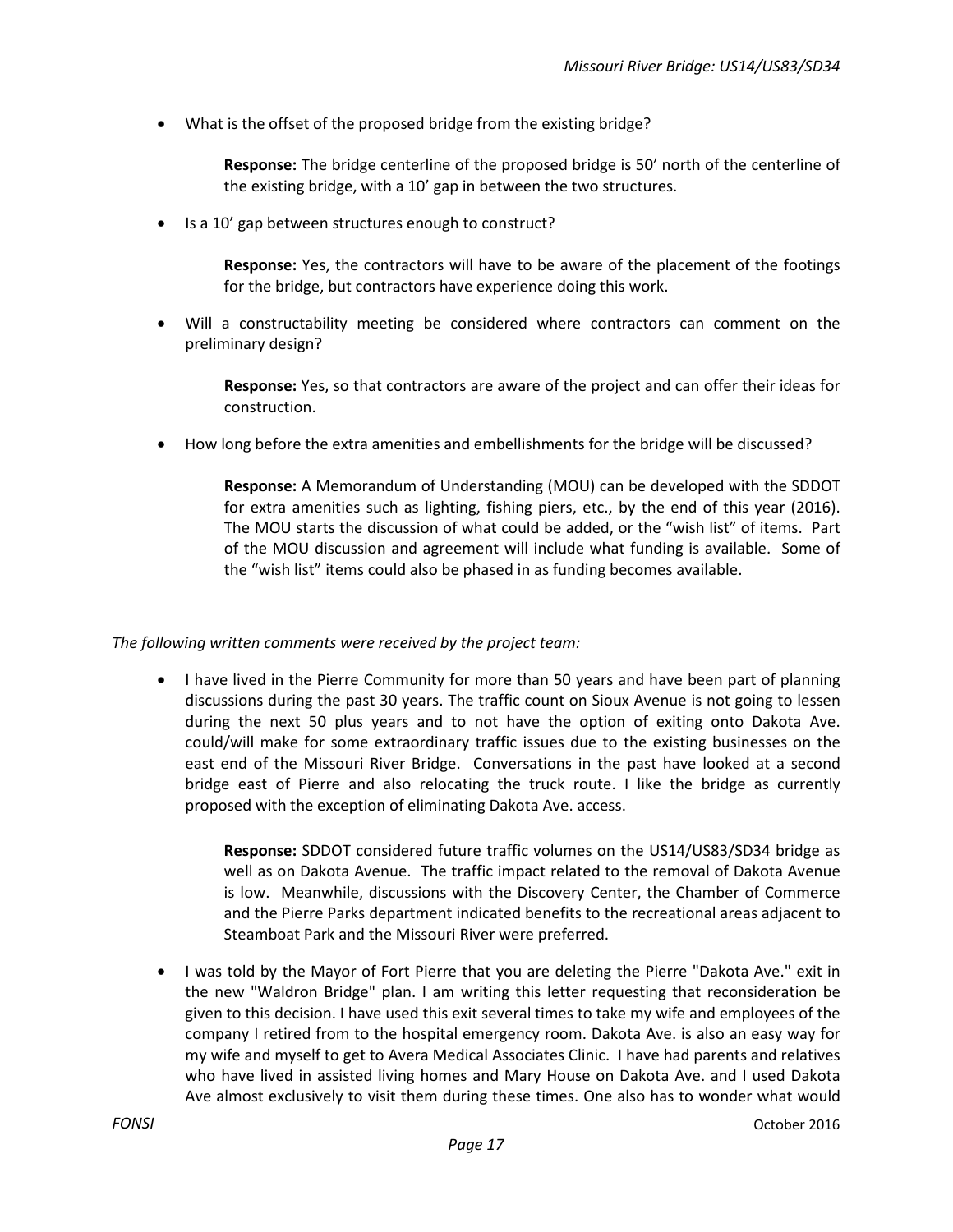• What is the offset of the proposed bridge from the existing bridge?

**Response:** The bridge centerline of the proposed bridge is 50' north of the centerline of the existing bridge, with a 10' gap in between the two structures.

Is a 10' gap between structures enough to construct?

**Response:** Yes, the contractors will have to be aware of the placement of the footings for the bridge, but contractors have experience doing this work.

Will a constructability meeting be considered where contractors can comment on the preliminary design?

**Response:** Yes, so that contractors are aware of the project and can offer their ideas for construction.

• How long before the extra amenities and embellishments for the bridge will be discussed?

**Response:** A Memorandum of Understanding (MOU) can be developed with the SDDOT for extra amenities such as lighting, fishing piers, etc., by the end of this year (2016). The MOU starts the discussion of what could be added, or the "wish list" of items. Part of the MOU discussion and agreement will include what funding is available. Some of the "wish list" items could also be phased in as funding becomes available.

#### *The following written comments were received by the project team:*

• I have lived in the Pierre Community for more than 50 years and have been part of planning discussions during the past 30 years. The traffic count on Sioux Avenue is not going to lessen during the next 50 plus years and to not have the option of exiting onto Dakota Ave. could/will make for some extraordinary traffic issues due to the existing businesses on the east end of the Missouri River Bridge. Conversations in the past have looked at a second bridge east of Pierre and also relocating the truck route. I like the bridge as currently proposed with the exception of eliminating Dakota Ave. access.

**Response:** SDDOT considered future traffic volumes on the US14/US83/SD34 bridge as well as on Dakota Avenue. The traffic impact related to the removal of Dakota Avenue is low. Meanwhile, discussions with the Discovery Center, the Chamber of Commerce and the Pierre Parks department indicated benefits to the recreational areas adjacent to Steamboat Park and the Missouri River were preferred.

• I was told by the Mayor of Fort Pierre that you are deleting the Pierre "Dakota Ave." exit in the new "Waldron Bridge" plan. I am writing this letter requesting that reconsideration be given to this decision. I have used this exit several times to take my wife and employees of the company I retired from to the hospital emergency room. Dakota Ave. is also an easy way for my wife and myself to get to Avera Medical Associates Clinic. I have had parents and relatives who have lived in assisted living homes and Mary House on Dakota Ave. and I used Dakota Ave almost exclusively to visit them during these times. One also has to wonder what would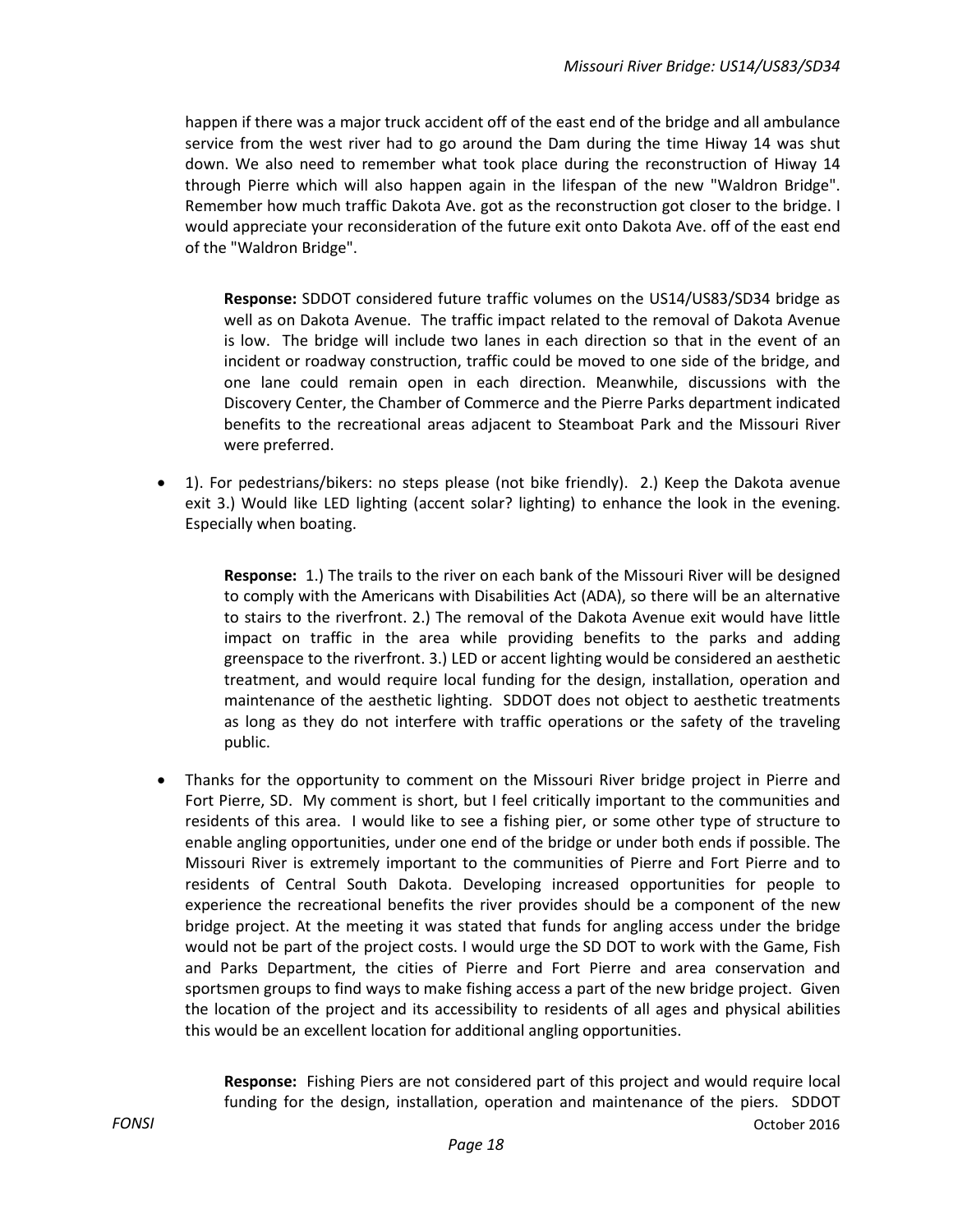happen if there was a major truck accident off of the east end of the bridge and all ambulance service from the west river had to go around the Dam during the time Hiway 14 was shut down. We also need to remember what took place during the reconstruction of Hiway 14 through Pierre which will also happen again in the lifespan of the new "Waldron Bridge". Remember how much traffic Dakota Ave. got as the reconstruction got closer to the bridge. I would appreciate your reconsideration of the future exit onto Dakota Ave. off of the east end of the "Waldron Bridge".

**Response:** SDDOT considered future traffic volumes on the US14/US83/SD34 bridge as well as on Dakota Avenue. The traffic impact related to the removal of Dakota Avenue is low. The bridge will include two lanes in each direction so that in the event of an incident or roadway construction, traffic could be moved to one side of the bridge, and one lane could remain open in each direction. Meanwhile, discussions with the Discovery Center, the Chamber of Commerce and the Pierre Parks department indicated benefits to the recreational areas adjacent to Steamboat Park and the Missouri River were preferred.

• 1). For pedestrians/bikers: no steps please (not bike friendly). 2.) Keep the Dakota avenue exit 3.) Would like LED lighting (accent solar? lighting) to enhance the look in the evening. Especially when boating.

**Response:** 1.) The trails to the river on each bank of the Missouri River will be designed to comply with the Americans with Disabilities Act (ADA), so there will be an alternative to stairs to the riverfront. 2.) The removal of the Dakota Avenue exit would have little impact on traffic in the area while providing benefits to the parks and adding greenspace to the riverfront. 3.) LED or accent lighting would be considered an aesthetic treatment, and would require local funding for the design, installation, operation and maintenance of the aesthetic lighting. SDDOT does not object to aesthetic treatments as long as they do not interfere with traffic operations or the safety of the traveling public.

• Thanks for the opportunity to comment on the Missouri River bridge project in Pierre and Fort Pierre, SD. My comment is short, but I feel critically important to the communities and residents of this area. I would like to see a fishing pier, or some other type of structure to enable angling opportunities, under one end of the bridge or under both ends if possible. The Missouri River is extremely important to the communities of Pierre and Fort Pierre and to residents of Central South Dakota. Developing increased opportunities for people to experience the recreational benefits the river provides should be a component of the new bridge project. At the meeting it was stated that funds for angling access under the bridge would not be part of the project costs. I would urge the SD DOT to work with the Game, Fish and Parks Department, the cities of Pierre and Fort Pierre and area conservation and sportsmen groups to find ways to make fishing access a part of the new bridge project. Given the location of the project and its accessibility to residents of all ages and physical abilities this would be an excellent location for additional angling opportunities.

*FONSI* October 2016 **Response:** Fishing Piers are not considered part of this project and would require local funding for the design, installation, operation and maintenance of the piers. SDDOT